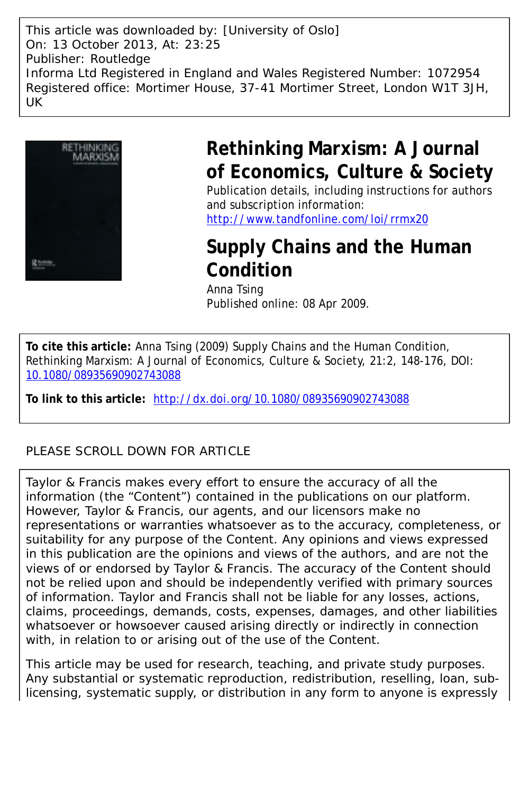This article was downloaded by: [University of Oslo] On: 13 October 2013, At: 23:25 Publisher: Routledge Informa Ltd Registered in England and Wales Registered Number: 1072954 Registered office: Mortimer House, 37-41 Mortimer Street, London W1T 3JH, UK



# **Rethinking Marxism: A Journal of Economics, Culture & Society**

Publication details, including instructions for authors and subscription information:

<http://www.tandfonline.com/loi/rrmx20>

## **Supply Chains and the Human Condition**

Anna Tsing Published online: 08 Apr 2009.

**To cite this article:** Anna Tsing (2009) Supply Chains and the Human Condition, Rethinking Marxism: A Journal of Economics, Culture & Society, 21:2, 148-176, DOI: [10.1080/08935690902743088](http://www.tandfonline.com/action/showCitFormats?doi=10.1080/08935690902743088)

**To link to this article:** <http://dx.doi.org/10.1080/08935690902743088>

### PLEASE SCROLL DOWN FOR ARTICLE

Taylor & Francis makes every effort to ensure the accuracy of all the information (the "Content") contained in the publications on our platform. However, Taylor & Francis, our agents, and our licensors make no representations or warranties whatsoever as to the accuracy, completeness, or suitability for any purpose of the Content. Any opinions and views expressed in this publication are the opinions and views of the authors, and are not the views of or endorsed by Taylor & Francis. The accuracy of the Content should not be relied upon and should be independently verified with primary sources of information. Taylor and Francis shall not be liable for any losses, actions, claims, proceedings, demands, costs, expenses, damages, and other liabilities whatsoever or howsoever caused arising directly or indirectly in connection with, in relation to or arising out of the use of the Content.

This article may be used for research, teaching, and private study purposes. Any substantial or systematic reproduction, redistribution, reselling, loan, sublicensing, systematic supply, or distribution in any form to anyone is expressly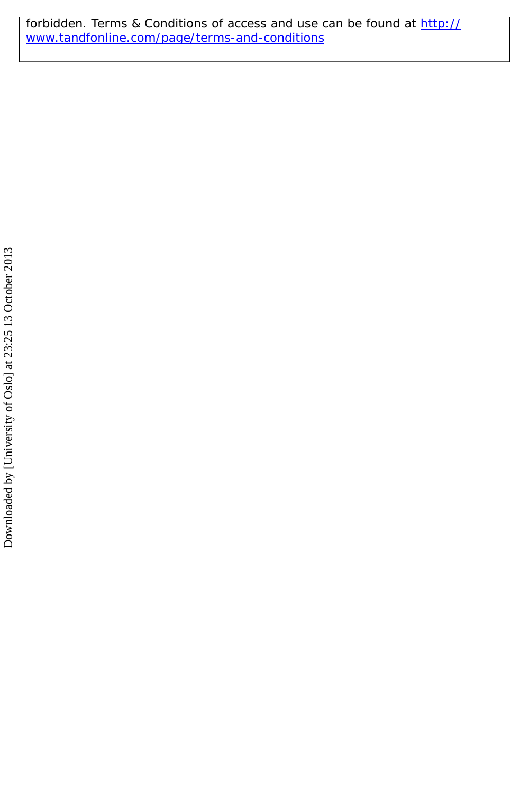forbidden. Terms & Conditions of access and use can be found at [http://](http://www.tandfonline.com/page/terms-and-conditions) [www.tandfonline.com/page/terms-and-conditions](http://www.tandfonline.com/page/terms-and-conditions)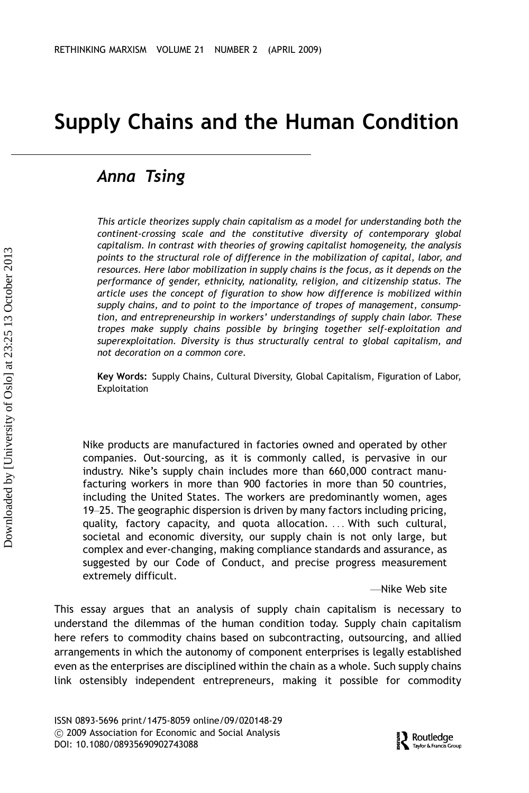## Supply Chains and the Human Condition

### Anna Tsing

This article theorizes supply chain capitalism as a model for understanding both the continent-crossing scale and the constitutive diversity of contemporary global capitalism. In contrast with theories of growing capitalist homogeneity, the analysis points to the structural role of difference in the mobilization of capital, labor, and resources. Here labor mobilization in supply chains is the focus, as it depends on the performance of gender, ethnicity, nationality, religion, and citizenship status. The article uses the concept of figuration to show how difference is mobilized within supply chains, and to point to the importance of tropes of management, consumption, and entrepreneurship in workers' understandings of supply chain labor. These tropes make supply chains possible by bringing together self-exploitation and superexploitation. Diversity is thus structurally central to global capitalism, and not decoration on a common core.

Key Words: Supply Chains, Cultural Diversity, Global Capitalism, Figuration of Labor, Exploitation

Nike products are manufactured in factories owned and operated by other companies. Out-sourcing, as it is commonly called, is pervasive in our industry. Nike's supply chain includes more than 660,000 contract manufacturing workers in more than 900 factories in more than 50 countries, including the United States. The workers are predominantly women, ages 19–25. The geographic dispersion is driven by many factors including pricing, quality, factory capacity, and quota allocation. ... With such cultural, societal and economic diversity, our supply chain is not only large, but complex and ever-changing, making compliance standards and assurance, as suggested by our Code of Conduct, and precise progress measurement extremely difficult.

 $-Mike$  Web site

This essay argues that an analysis of supply chain capitalism is necessary to understand the dilemmas of the human condition today. Supply chain capitalism here refers to commodity chains based on subcontracting, outsourcing, and allied arrangements in which the autonomy of component enterprises is legally established even as the enterprises are disciplined within the chain as a whole. Such supply chains link ostensibly independent entrepreneurs, making it possible for commodity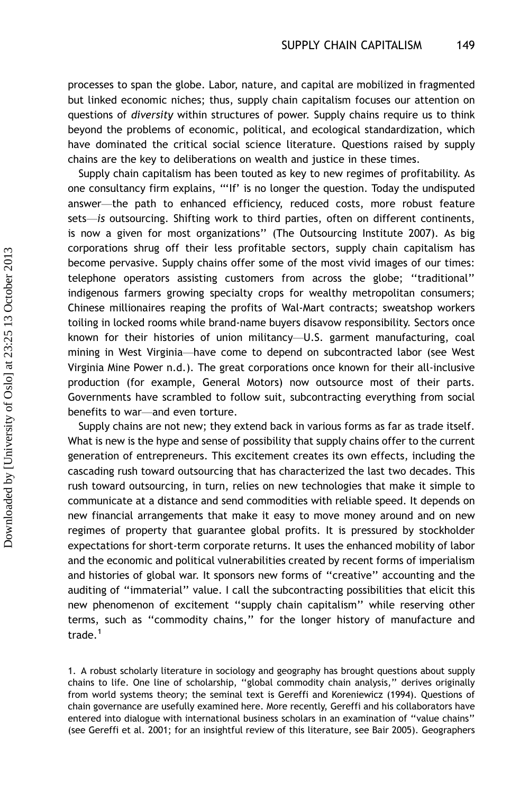processes to span the globe. Labor, nature, and capital are mobilized in fragmented but linked economic niches; thus, supply chain capitalism focuses our attention on questions of diversity within structures of power. Supply chains require us to think beyond the problems of economic, political, and ecological standardization, which have dominated the critical social science literature. Questions raised by supply chains are the key to deliberations on wealth and justice in these times.

Supply chain capitalism has been touted as key to new regimes of profitability. As one consultancy firm explains, '''If' is no longer the question. Today the undisputed answer-the path to enhanced efficiency, reduced costs, more robust feature sets—is outsourcing. Shifting work to third parties, often on different continents, is now a given for most organizations'' (The Outsourcing Institute 2007). As big corporations shrug off their less profitable sectors, supply chain capitalism has become pervasive. Supply chains offer some of the most vivid images of our times: telephone operators assisting customers from across the globe; ''traditional'' indigenous farmers growing specialty crops for wealthy metropolitan consumers; Chinese millionaires reaping the profits of Wal-Mart contracts; sweatshop workers toiling in locked rooms while brand-name buyers disavow responsibility. Sectors once known for their histories of union militancy—U.S. garment manufacturing, coal mining in West Virginia-have come to depend on subcontracted labor (see West Virginia Mine Power n.d.). The great corporations once known for their all-inclusive production (for example, General Motors) now outsource most of their parts. Governments have scrambled to follow suit, subcontracting everything from social benefits to war-and even torture.

Supply chains are not new; they extend back in various forms as far as trade itself. What is new is the hype and sense of possibility that supply chains offer to the current generation of entrepreneurs. This excitement creates its own effects, including the cascading rush toward outsourcing that has characterized the last two decades. This rush toward outsourcing, in turn, relies on new technologies that make it simple to communicate at a distance and send commodities with reliable speed. It depends on new financial arrangements that make it easy to move money around and on new regimes of property that guarantee global profits. It is pressured by stockholder expectations for short-term corporate returns. It uses the enhanced mobility of labor and the economic and political vulnerabilities created by recent forms of imperialism and histories of global war. It sponsors new forms of "creative" accounting and the auditing of ''immaterial'' value. I call the subcontracting possibilities that elicit this new phenomenon of excitement ''supply chain capitalism'' while reserving other terms, such as ''commodity chains,'' for the longer history of manufacture and trade.<sup>1</sup>

1. A robust scholarly literature in sociology and geography has brought questions about supply chains to life. One line of scholarship, ''global commodity chain analysis,'' derives originally from world systems theory; the seminal text is Gereffi and Koreniewicz (1994). Questions of chain governance are usefully examined here. More recently, Gereffi and his collaborators have entered into dialogue with international business scholars in an examination of ''value chains'' (see Gereffi et al. 2001; for an insightful review of this literature, see Bair 2005). Geographers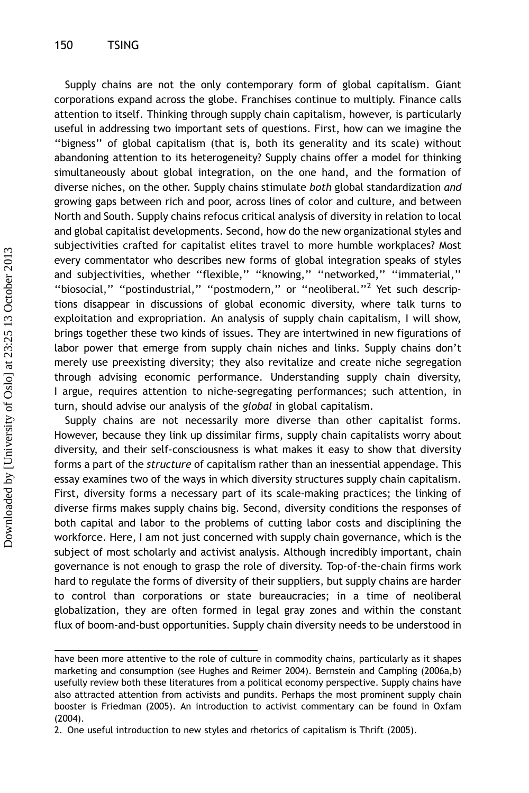Supply chains are not the only contemporary form of global capitalism. Giant corporations expand across the globe. Franchises continue to multiply. Finance calls attention to itself. Thinking through supply chain capitalism, however, is particularly useful in addressing two important sets of questions. First, how can we imagine the ''bigness'' of global capitalism (that is, both its generality and its scale) without abandoning attention to its heterogeneity? Supply chains offer a model for thinking simultaneously about global integration, on the one hand, and the formation of diverse niches, on the other. Supply chains stimulate both global standardization and growing gaps between rich and poor, across lines of color and culture, and between North and South. Supply chains refocus critical analysis of diversity in relation to local and global capitalist developments. Second, how do the new organizational styles and subjectivities crafted for capitalist elites travel to more humble workplaces? Most every commentator who describes new forms of global integration speaks of styles and subjectivities, whether ''flexible,'' ''knowing,'' ''networked,'' ''immaterial,'' "biosocial," "postindustrial," "postmodern," or "neoliberal."<sup>2</sup> Yet such descriptions disappear in discussions of global economic diversity, where talk turns to exploitation and expropriation. An analysis of supply chain capitalism, I will show, brings together these two kinds of issues. They are intertwined in new figurations of labor power that emerge from supply chain niches and links. Supply chains don't merely use preexisting diversity; they also revitalize and create niche segregation through advising economic performance. Understanding supply chain diversity, I argue, requires attention to niche-segregating performances; such attention, in turn, should advise our analysis of the global in global capitalism.

Supply chains are not necessarily more diverse than other capitalist forms. However, because they link up dissimilar firms, supply chain capitalists worry about diversity, and their self-consciousness is what makes it easy to show that diversity forms a part of the structure of capitalism rather than an inessential appendage. This essay examines two of the ways in which diversity structures supply chain capitalism. First, diversity forms a necessary part of its scale-making practices; the linking of diverse firms makes supply chains big. Second, diversity conditions the responses of both capital and labor to the problems of cutting labor costs and disciplining the workforce. Here, I am not just concerned with supply chain governance, which is the subject of most scholarly and activist analysis. Although incredibly important, chain governance is not enough to grasp the role of diversity. Top-of-the-chain firms work hard to regulate the forms of diversity of their suppliers, but supply chains are harder to control than corporations or state bureaucracies; in a time of neoliberal globalization, they are often formed in legal gray zones and within the constant flux of boom-and-bust opportunities. Supply chain diversity needs to be understood in

have been more attentive to the role of culture in commodity chains, particularly as it shapes marketing and consumption (see Hughes and Reimer 2004). Bernstein and Campling (2006a,b) usefully review both these literatures from a political economy perspective. Supply chains have also attracted attention from activists and pundits. Perhaps the most prominent supply chain booster is Friedman (2005). An introduction to activist commentary can be found in Oxfam (2004).

<sup>2.</sup> One useful introduction to new styles and rhetorics of capitalism is Thrift (2005).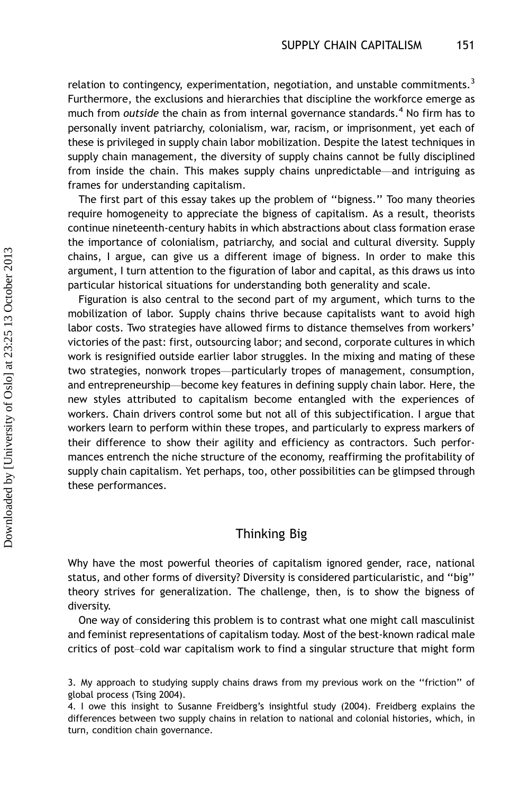relation to contingency, experimentation, negotiation, and unstable commitments.<sup>3</sup> Furthermore, the exclusions and hierarchies that discipline the workforce emerge as much from outside the chain as from internal governance standards.<sup>4</sup> No firm has to personally invent patriarchy, colonialism, war, racism, or imprisonment, yet each of these is privileged in supply chain labor mobilization. Despite the latest techniques in supply chain management, the diversity of supply chains cannot be fully disciplined from inside the chain. This makes supply chains unpredictable—and intriguing as frames for understanding capitalism.

The first part of this essay takes up the problem of ''bigness.'' Too many theories require homogeneity to appreciate the bigness of capitalism. As a result, theorists continue nineteenth-century habits in which abstractions about class formation erase the importance of colonialism, patriarchy, and social and cultural diversity. Supply chains, I argue, can give us a different image of bigness. In order to make this argument, I turn attention to the figuration of labor and capital, as this draws us into particular historical situations for understanding both generality and scale.

Figuration is also central to the second part of my argument, which turns to the mobilization of labor. Supply chains thrive because capitalists want to avoid high labor costs. Two strategies have allowed firms to distance themselves from workers' victories of the past: first, outsourcing labor; and second, corporate cultures in which work is resignified outside earlier labor struggles. In the mixing and mating of these two strategies, nonwork tropes—particularly tropes of management, consumption, and entrepreneurship—become key features in defining supply chain labor. Here, the new styles attributed to capitalism become entangled with the experiences of workers. Chain drivers control some but not all of this subjectification. I argue that workers learn to perform within these tropes, and particularly to express markers of their difference to show their agility and efficiency as contractors. Such performances entrench the niche structure of the economy, reaffirming the profitability of supply chain capitalism. Yet perhaps, too, other possibilities can be glimpsed through these performances.

#### Thinking Big

Why have the most powerful theories of capitalism ignored gender, race, national status, and other forms of diversity? Diversity is considered particularistic, and ''big'' theory strives for generalization. The challenge, then, is to show the bigness of diversity.

One way of considering this problem is to contrast what one might call masculinist and feminist representations of capitalism today. Most of the best-known radical male critics of post-cold war capitalism work to find a singular structure that might form

<sup>3.</sup> My approach to studying supply chains draws from my previous work on the ''friction'' of global process (Tsing 2004).

<sup>4.</sup> I owe this insight to Susanne Freidberg's insightful study (2004). Freidberg explains the differences between two supply chains in relation to national and colonial histories, which, in turn, condition chain governance.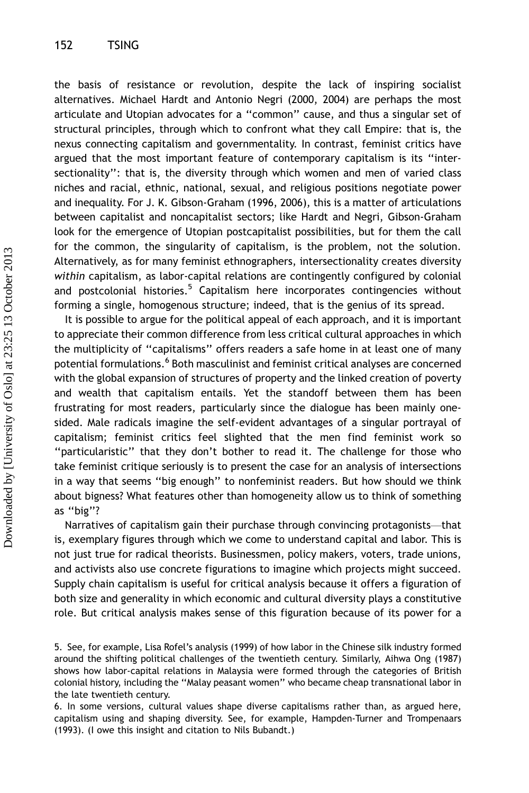the basis of resistance or revolution, despite the lack of inspiring socialist alternatives. Michael Hardt and Antonio Negri (2000, 2004) are perhaps the most articulate and Utopian advocates for a ''common'' cause, and thus a singular set of structural principles, through which to confront what they call Empire: that is, the nexus connecting capitalism and governmentality. In contrast, feminist critics have argued that the most important feature of contemporary capitalism is its ''intersectionality'': that is, the diversity through which women and men of varied class niches and racial, ethnic, national, sexual, and religious positions negotiate power and inequality. For J. K. Gibson-Graham (1996, 2006), this is a matter of articulations between capitalist and noncapitalist sectors; like Hardt and Negri, Gibson-Graham look for the emergence of Utopian postcapitalist possibilities, but for them the call for the common, the singularity of capitalism, is the problem, not the solution. Alternatively, as for many feminist ethnographers, intersectionality creates diversity within capitalism, as labor-capital relations are contingently configured by colonial and postcolonial histories.<sup>5</sup> Capitalism here incorporates contingencies without forming a single, homogenous structure; indeed, that is the genius of its spread.

It is possible to argue for the political appeal of each approach, and it is important to appreciate their common difference from less critical cultural approaches in which the multiplicity of ''capitalisms'' offers readers a safe home in at least one of many potential formulations.<sup>6</sup> Both masculinist and feminist critical analyses are concerned with the global expansion of structures of property and the linked creation of poverty and wealth that capitalism entails. Yet the standoff between them has been frustrating for most readers, particularly since the dialogue has been mainly onesided. Male radicals imagine the self-evident advantages of a singular portrayal of capitalism; feminist critics feel slighted that the men find feminist work so ''particularistic'' that they don't bother to read it. The challenge for those who take feminist critique seriously is to present the case for an analysis of intersections in a way that seems ''big enough'' to nonfeminist readers. But how should we think about bigness? What features other than homogeneity allow us to think of something as ''big''?

Narratives of capitalism gain their purchase through convincing protagonists—that is, exemplary figures through which we come to understand capital and labor. This is not just true for radical theorists. Businessmen, policy makers, voters, trade unions, and activists also use concrete figurations to imagine which projects might succeed. Supply chain capitalism is useful for critical analysis because it offers a figuration of both size and generality in which economic and cultural diversity plays a constitutive role. But critical analysis makes sense of this figuration because of its power for a

<sup>5.</sup> See, for example, Lisa Rofel's analysis (1999) of how labor in the Chinese silk industry formed around the shifting political challenges of the twentieth century. Similarly, Aihwa Ong (1987) shows how labor-capital relations in Malaysia were formed through the categories of British colonial history, including the ''Malay peasant women'' who became cheap transnational labor in the late twentieth century.

<sup>6.</sup> In some versions, cultural values shape diverse capitalisms rather than, as argued here, capitalism using and shaping diversity. See, for example, Hampden-Turner and Trompenaars (1993). (I owe this insight and citation to Nils Bubandt.)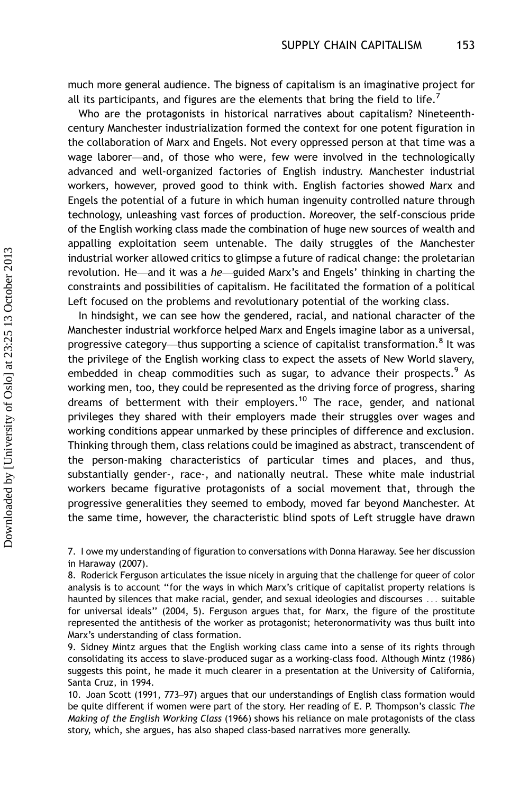much more general audience. The bigness of capitalism is an imaginative project for all its participants, and figures are the elements that bring the field to life.<sup>7</sup>

Who are the protagonists in historical narratives about capitalism? Nineteenthcentury Manchester industrialization formed the context for one potent figuration in the collaboration of Marx and Engels. Not every oppressed person at that time was a wage laborer—and, of those who were, few were involved in the technologically advanced and well-organized factories of English industry. Manchester industrial workers, however, proved good to think with. English factories showed Marx and Engels the potential of a future in which human ingenuity controlled nature through technology, unleashing vast forces of production. Moreover, the self-conscious pride of the English working class made the combination of huge new sources of wealth and appalling exploitation seem untenable. The daily struggles of the Manchester industrial worker allowed critics to glimpse a future of radical change: the proletarian revolution. He—and it was a he—guided Marx's and Engels' thinking in charting the constraints and possibilities of capitalism. He facilitated the formation of a political Left focused on the problems and revolutionary potential of the working class.

In hindsight, we can see how the gendered, racial, and national character of the Manchester industrial workforce helped Marx and Engels imagine labor as a universal, progressive category—thus supporting a science of capitalist transformation.<sup>8</sup> It was the privilege of the English working class to expect the assets of New World slavery, embedded in cheap commodities such as sugar, to advance their prospects.<sup>9</sup> As working men, too, they could be represented as the driving force of progress, sharing dreams of betterment with their employers.<sup>10</sup> The race, gender, and national privileges they shared with their employers made their struggles over wages and working conditions appear unmarked by these principles of difference and exclusion. Thinking through them, class relations could be imagined as abstract, transcendent of the person-making characteristics of particular times and places, and thus, substantially gender-, race-, and nationally neutral. These white male industrial workers became figurative protagonists of a social movement that, through the progressive generalities they seemed to embody, moved far beyond Manchester. At the same time, however, the characteristic blind spots of Left struggle have drawn

7. I owe my understanding of figuration to conversations with Donna Haraway. See her discussion in Haraway (2007).

8. Roderick Ferguson articulates the issue nicely in arguing that the challenge for queer of color analysis is to account ''for the ways in which Marx's critique of capitalist property relations is haunted by silences that make racial, gender, and sexual ideologies and discourses ... suitable for universal ideals'' (2004, 5). Ferguson argues that, for Marx, the figure of the prostitute represented the antithesis of the worker as protagonist; heteronormativity was thus built into Marx's understanding of class formation.

9. Sidney Mintz argues that the English working class came into a sense of its rights through consolidating its access to slave-produced sugar as a working-class food. Although Mintz (1986) suggests this point, he made it much clearer in a presentation at the University of California, Santa Cruz, in 1994.

10. Joan Scott (1991, 773–97) argues that our understandings of English class formation would be quite different if women were part of the story. Her reading of E. P. Thompson's classic The Making of the English Working Class (1966) shows his reliance on male protagonists of the class story, which, she argues, has also shaped class-based narratives more generally.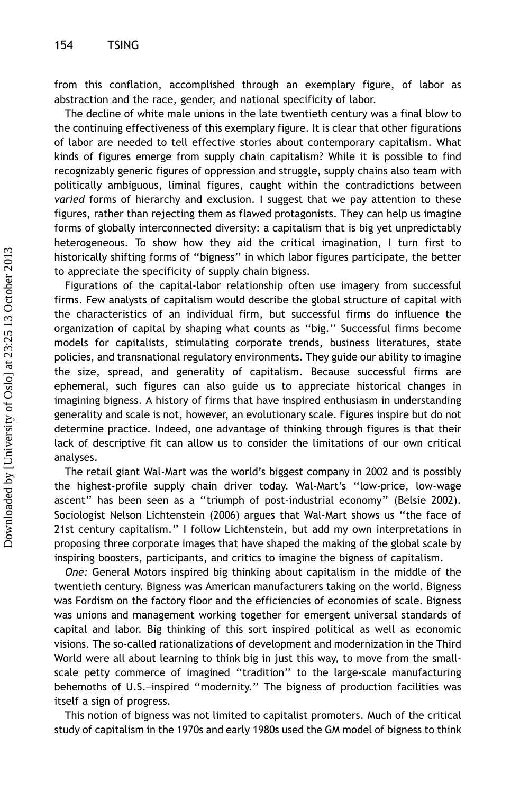from this conflation, accomplished through an exemplary figure, of labor as abstraction and the race, gender, and national specificity of labor.

The decline of white male unions in the late twentieth century was a final blow to the continuing effectiveness of this exemplary figure. It is clear that other figurations of labor are needed to tell effective stories about contemporary capitalism. What kinds of figures emerge from supply chain capitalism? While it is possible to find recognizably generic figures of oppression and struggle, supply chains also team with politically ambiguous, liminal figures, caught within the contradictions between varied forms of hierarchy and exclusion. I suggest that we pay attention to these figures, rather than rejecting them as flawed protagonists. They can help us imagine forms of globally interconnected diversity: a capitalism that is big yet unpredictably heterogeneous. To show how they aid the critical imagination, I turn first to historically shifting forms of ''bigness'' in which labor figures participate, the better to appreciate the specificity of supply chain bigness.

Figurations of the capital-labor relationship often use imagery from successful firms. Few analysts of capitalism would describe the global structure of capital with the characteristics of an individual firm, but successful firms do influence the organization of capital by shaping what counts as ''big.'' Successful firms become models for capitalists, stimulating corporate trends, business literatures, state policies, and transnational regulatory environments. They guide our ability to imagine the size, spread, and generality of capitalism. Because successful firms are ephemeral, such figures can also guide us to appreciate historical changes in imagining bigness. A history of firms that have inspired enthusiasm in understanding generality and scale is not, however, an evolutionary scale. Figures inspire but do not determine practice. Indeed, one advantage of thinking through figures is that their lack of descriptive fit can allow us to consider the limitations of our own critical analyses.

The retail giant Wal-Mart was the world's biggest company in 2002 and is possibly the highest-profile supply chain driver today. Wal-Mart's ''low-price, low-wage ascent'' has been seen as a ''triumph of post-industrial economy'' (Belsie 2002). Sociologist Nelson Lichtenstein (2006) argues that Wal-Mart shows us ''the face of 21st century capitalism.'' I follow Lichtenstein, but add my own interpretations in proposing three corporate images that have shaped the making of the global scale by inspiring boosters, participants, and critics to imagine the bigness of capitalism.

One: General Motors inspired big thinking about capitalism in the middle of the twentieth century. Bigness was American manufacturers taking on the world. Bigness was Fordism on the factory floor and the efficiencies of economies of scale. Bigness was unions and management working together for emergent universal standards of capital and labor. Big thinking of this sort inspired political as well as economic visions. The so-called rationalizations of development and modernization in the Third World were all about learning to think big in just this way, to move from the smallscale petty commerce of imagined ''tradition'' to the large-scale manufacturing behemoths of U.S.-inspired "modernity." The bigness of production facilities was itself a sign of progress.

This notion of bigness was not limited to capitalist promoters. Much of the critical study of capitalism in the 1970s and early 1980s used the GM model of bigness to think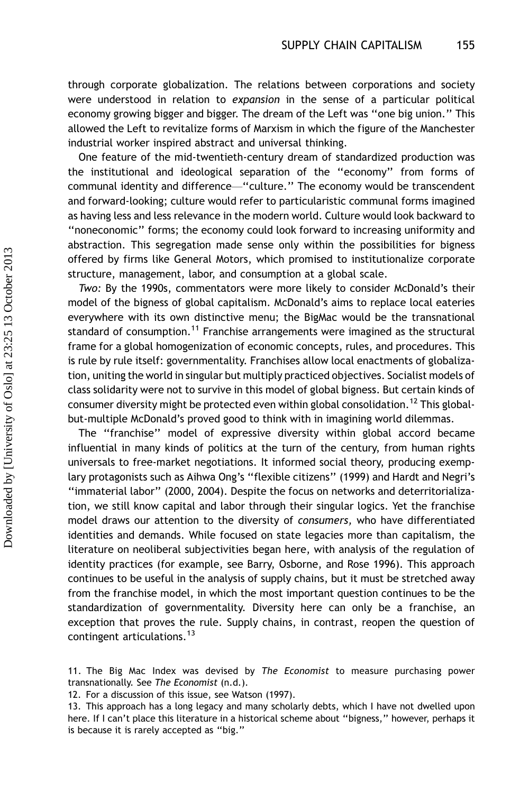through corporate globalization. The relations between corporations and society were understood in relation to expansion in the sense of a particular political economy growing bigger and bigger. The dream of the Left was ''one big union.'' This allowed the Left to revitalize forms of Marxism in which the figure of the Manchester industrial worker inspired abstract and universal thinking.

One feature of the mid-twentieth-century dream of standardized production was the institutional and ideological separation of the ''economy'' from forms of communal identity and difference—"culture." The economy would be transcendent and forward-looking; culture would refer to particularistic communal forms imagined as having less and less relevance in the modern world. Culture would look backward to ''noneconomic'' forms; the economy could look forward to increasing uniformity and abstraction. This segregation made sense only within the possibilities for bigness offered by firms like General Motors, which promised to institutionalize corporate structure, management, labor, and consumption at a global scale.

Two: By the 1990s, commentators were more likely to consider McDonald's their model of the bigness of global capitalism. McDonald's aims to replace local eateries everywhere with its own distinctive menu; the BigMac would be the transnational standard of consumption.<sup>11</sup> Franchise arrangements were imagined as the structural frame for a global homogenization of economic concepts, rules, and procedures. This is rule by rule itself: governmentality. Franchises allow local enactments of globalization, uniting the world in singular but multiply practiced objectives. Socialist models of class solidarity were not to survive in this model of global bigness. But certain kinds of consumer diversity might be protected even within global consolidation.<sup>12</sup> This globalbut-multiple McDonald's proved good to think with in imagining world dilemmas.

The ''franchise'' model of expressive diversity within global accord became influential in many kinds of politics at the turn of the century, from human rights universals to free-market negotiations. It informed social theory, producing exemplary protagonists such as Aihwa Ong's ''flexible citizens'' (1999) and Hardt and Negri's ''immaterial labor'' (2000, 2004). Despite the focus on networks and deterritorialization, we still know capital and labor through their singular logics. Yet the franchise model draws our attention to the diversity of consumers, who have differentiated identities and demands. While focused on state legacies more than capitalism, the literature on neoliberal subjectivities began here, with analysis of the regulation of identity practices (for example, see Barry, Osborne, and Rose 1996). This approach continues to be useful in the analysis of supply chains, but it must be stretched away from the franchise model, in which the most important question continues to be the standardization of governmentality. Diversity here can only be a franchise, an exception that proves the rule. Supply chains, in contrast, reopen the question of contingent articulations.<sup>13</sup>

11. The Big Mac Index was devised by The Economist to measure purchasing power transnationally. See The Economist (n.d.).

12. For a discussion of this issue, see Watson (1997).

13. This approach has a long legacy and many scholarly debts, which I have not dwelled upon here. If I can't place this literature in a historical scheme about "bigness," however, perhaps it is because it is rarely accepted as ''big.''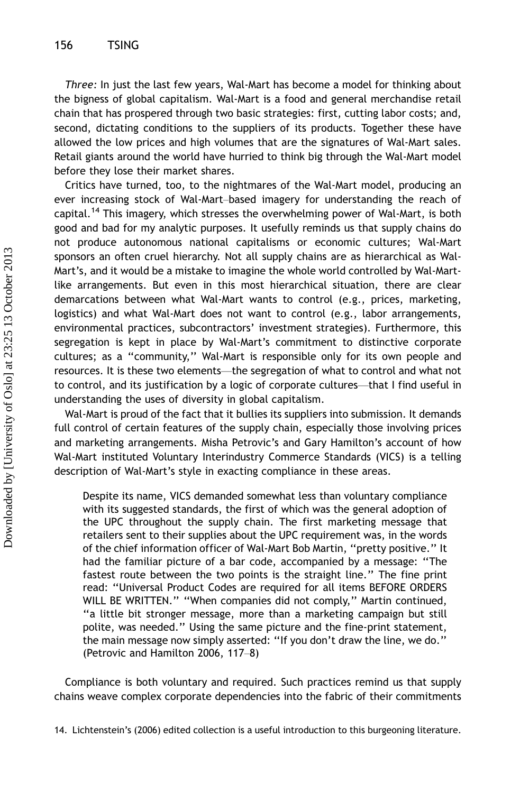Three: In just the last few years, Wal-Mart has become a model for thinking about the bigness of global capitalism. Wal-Mart is a food and general merchandise retail chain that has prospered through two basic strategies: first, cutting labor costs; and, second, dictating conditions to the suppliers of its products. Together these have allowed the low prices and high volumes that are the signatures of Wal-Mart sales. Retail giants around the world have hurried to think big through the Wal-Mart model before they lose their market shares.

Critics have turned, too, to the nightmares of the Wal-Mart model, producing an ever increasing stock of Wal-Mart-based imagery for understanding the reach of capital.<sup>14</sup> This imagery, which stresses the overwhelming power of Wal-Mart, is both good and bad for my analytic purposes. It usefully reminds us that supply chains do not produce autonomous national capitalisms or economic cultures; Wal-Mart sponsors an often cruel hierarchy. Not all supply chains are as hierarchical as Wal-Mart's, and it would be a mistake to imagine the whole world controlled by Wal-Martlike arrangements. But even in this most hierarchical situation, there are clear demarcations between what Wal-Mart wants to control (e.g., prices, marketing, logistics) and what Wal-Mart does not want to control (e.g., labor arrangements, environmental practices, subcontractors' investment strategies). Furthermore, this segregation is kept in place by Wal-Mart's commitment to distinctive corporate cultures; as a ''community,'' Wal-Mart is responsible only for its own people and resources. It is these two elements-the segregation of what to control and what not to control, and its justification by a logic of corporate cultures—that I find useful in understanding the uses of diversity in global capitalism.

Wal-Mart is proud of the fact that it bullies its suppliers into submission. It demands full control of certain features of the supply chain, especially those involving prices and marketing arrangements. Misha Petrovic's and Gary Hamilton's account of how Wal-Mart instituted Voluntary Interindustry Commerce Standards (VICS) is a telling description of Wal-Mart's style in exacting compliance in these areas.

Despite its name, VICS demanded somewhat less than voluntary compliance with its suggested standards, the first of which was the general adoption of the UPC throughout the supply chain. The first marketing message that retailers sent to their supplies about the UPC requirement was, in the words of the chief information officer of Wal-Mart Bob Martin, ''pretty positive.'' It had the familiar picture of a bar code, accompanied by a message: ''The fastest route between the two points is the straight line.'' The fine print read: ''Universal Product Codes are required for all items BEFORE ORDERS WILL BE WRITTEN.'' ''When companies did not comply,'' Martin continued, ''a little bit stronger message, more than a marketing campaign but still polite, was needed.'' Using the same picture and the fine-print statement, the main message now simply asserted: ''If you don't draw the line, we do.'' (Petrovic and Hamilton 2006, 117-8)

Compliance is both voluntary and required. Such practices remind us that supply chains weave complex corporate dependencies into the fabric of their commitments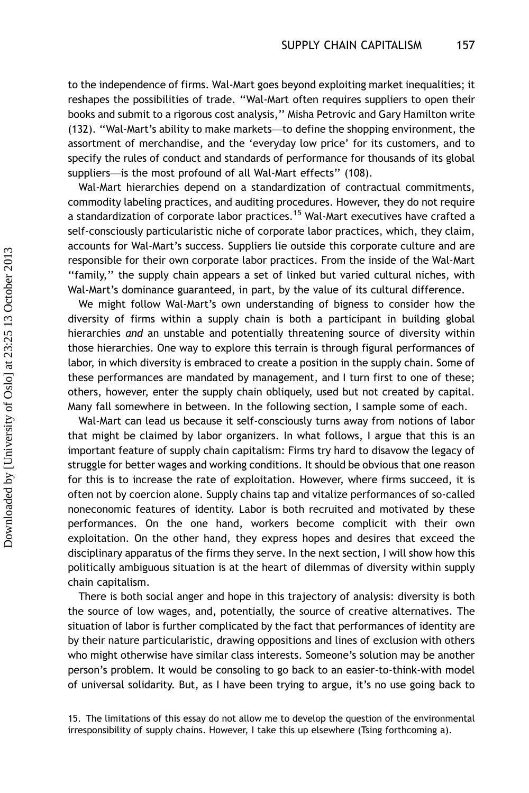to the independence of firms. Wal-Mart goes beyond exploiting market inequalities; it reshapes the possibilities of trade. ''Wal-Mart often requires suppliers to open their books and submit to a rigorous cost analysis,'' Misha Petrovic and Gary Hamilton write (132). ''Wal-Mart's ability to make markets\*/to define the shopping environment, the assortment of merchandise, and the 'everyday low price' for its customers, and to specify the rules of conduct and standards of performance for thousands of its global suppliers-is the most profound of all Wal-Mart effects" (108).

Wal-Mart hierarchies depend on a standardization of contractual commitments, commodity labeling practices, and auditing procedures. However, they do not require a standardization of corporate labor practices.<sup>15</sup> Wal-Mart executives have crafted a self-consciously particularistic niche of corporate labor practices, which, they claim, accounts for Wal-Mart's success. Suppliers lie outside this corporate culture and are responsible for their own corporate labor practices. From the inside of the Wal-Mart ''family,'' the supply chain appears a set of linked but varied cultural niches, with Wal-Mart's dominance guaranteed, in part, by the value of its cultural difference.

We might follow Wal-Mart's own understanding of bigness to consider how the diversity of firms within a supply chain is both a participant in building global hierarchies and an unstable and potentially threatening source of diversity within those hierarchies. One way to explore this terrain is through figural performances of labor, in which diversity is embraced to create a position in the supply chain. Some of these performances are mandated by management, and I turn first to one of these; others, however, enter the supply chain obliquely, used but not created by capital. Many fall somewhere in between. In the following section, I sample some of each.

Wal-Mart can lead us because it self-consciously turns away from notions of labor that might be claimed by labor organizers. In what follows, I argue that this is an important feature of supply chain capitalism: Firms try hard to disavow the legacy of struggle for better wages and working conditions. It should be obvious that one reason for this is to increase the rate of exploitation. However, where firms succeed, it is often not by coercion alone. Supply chains tap and vitalize performances of so-called noneconomic features of identity. Labor is both recruited and motivated by these performances. On the one hand, workers become complicit with their own exploitation. On the other hand, they express hopes and desires that exceed the disciplinary apparatus of the firms they serve. In the next section, I will show how this politically ambiguous situation is at the heart of dilemmas of diversity within supply chain capitalism.

There is both social anger and hope in this trajectory of analysis: diversity is both the source of low wages, and, potentially, the source of creative alternatives. The situation of labor is further complicated by the fact that performances of identity are by their nature particularistic, drawing oppositions and lines of exclusion with others who might otherwise have similar class interests. Someone's solution may be another person's problem. It would be consoling to go back to an easier-to-think-with model of universal solidarity. But, as I have been trying to argue, it's no use going back to

<sup>15.</sup> The limitations of this essay do not allow me to develop the question of the environmental irresponsibility of supply chains. However, I take this up elsewhere (Tsing forthcoming a).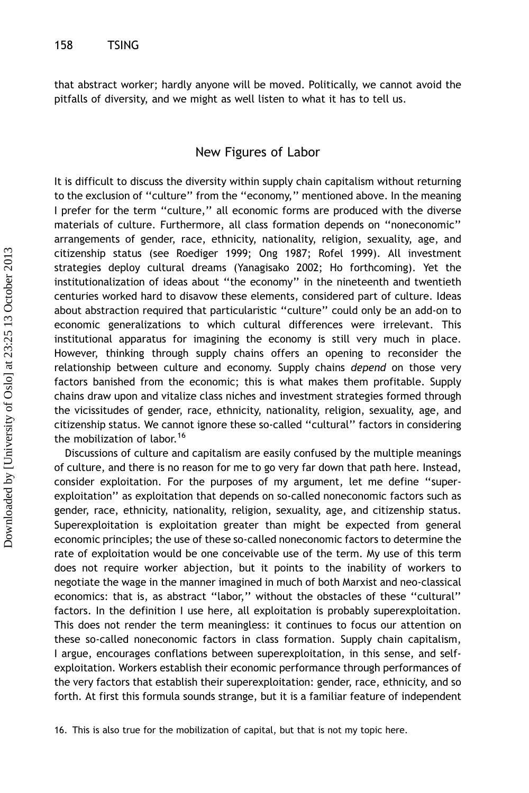that abstract worker; hardly anyone will be moved. Politically, we cannot avoid the pitfalls of diversity, and we might as well listen to what it has to tell us.

#### New Figures of Labor

It is difficult to discuss the diversity within supply chain capitalism without returning to the exclusion of ''culture'' from the ''economy,'' mentioned above. In the meaning I prefer for the term ''culture,'' all economic forms are produced with the diverse materials of culture. Furthermore, all class formation depends on ''noneconomic'' arrangements of gender, race, ethnicity, nationality, religion, sexuality, age, and citizenship status (see Roediger 1999; Ong 1987; Rofel 1999). All investment strategies deploy cultural dreams (Yanagisako 2002; Ho forthcoming). Yet the institutionalization of ideas about ''the economy'' in the nineteenth and twentieth centuries worked hard to disavow these elements, considered part of culture. Ideas about abstraction required that particularistic ''culture'' could only be an add-on to economic generalizations to which cultural differences were irrelevant. This institutional apparatus for imagining the economy is still very much in place. However, thinking through supply chains offers an opening to reconsider the relationship between culture and economy. Supply chains depend on those very factors banished from the economic; this is what makes them profitable. Supply chains draw upon and vitalize class niches and investment strategies formed through the vicissitudes of gender, race, ethnicity, nationality, religion, sexuality, age, and citizenship status. We cannot ignore these so-called ''cultural'' factors in considering the mobilization of labor.<sup>16</sup>

Discussions of culture and capitalism are easily confused by the multiple meanings of culture, and there is no reason for me to go very far down that path here. Instead, consider exploitation. For the purposes of my argument, let me define ''superexploitation'' as exploitation that depends on so-called noneconomic factors such as gender, race, ethnicity, nationality, religion, sexuality, age, and citizenship status. Superexploitation is exploitation greater than might be expected from general economic principles; the use of these so-called noneconomic factors to determine the rate of exploitation would be one conceivable use of the term. My use of this term does not require worker abjection, but it points to the inability of workers to negotiate the wage in the manner imagined in much of both Marxist and neo-classical economics: that is, as abstract ''labor,'' without the obstacles of these ''cultural'' factors. In the definition I use here, all exploitation is probably superexploitation. This does not render the term meaningless: it continues to focus our attention on these so-called noneconomic factors in class formation. Supply chain capitalism, I argue, encourages conflations between superexploitation, in this sense, and selfexploitation. Workers establish their economic performance through performances of the very factors that establish their superexploitation: gender, race, ethnicity, and so forth. At first this formula sounds strange, but it is a familiar feature of independent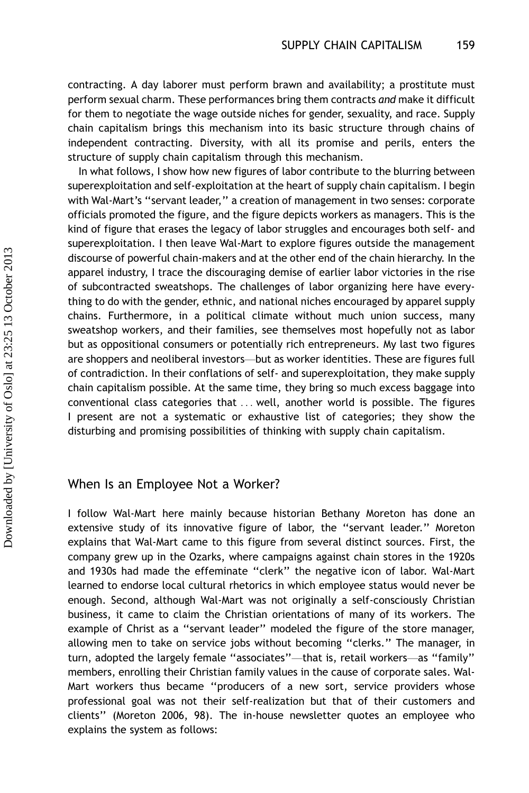contracting. A day laborer must perform brawn and availability; a prostitute must perform sexual charm. These performances bring them contracts and make it difficult for them to negotiate the wage outside niches for gender, sexuality, and race. Supply chain capitalism brings this mechanism into its basic structure through chains of independent contracting. Diversity, with all its promise and perils, enters the structure of supply chain capitalism through this mechanism.

In what follows, I show how new figures of labor contribute to the blurring between superexploitation and self-exploitation at the heart of supply chain capitalism. I begin with Wal-Mart's ''servant leader,'' a creation of management in two senses: corporate officials promoted the figure, and the figure depicts workers as managers. This is the kind of figure that erases the legacy of labor struggles and encourages both self- and superexploitation. I then leave Wal-Mart to explore figures outside the management discourse of powerful chain-makers and at the other end of the chain hierarchy. In the apparel industry, I trace the discouraging demise of earlier labor victories in the rise of subcontracted sweatshops. The challenges of labor organizing here have everything to do with the gender, ethnic, and national niches encouraged by apparel supply chains. Furthermore, in a political climate without much union success, many sweatshop workers, and their families, see themselves most hopefully not as labor but as oppositional consumers or potentially rich entrepreneurs. My last two figures are shoppers and neoliberal investors—but as worker identities. These are figures full of contradiction. In their conflations of self- and superexploitation, they make supply chain capitalism possible. At the same time, they bring so much excess baggage into conventional class categories that ... well, another world is possible. The figures I present are not a systematic or exhaustive list of categories; they show the disturbing and promising possibilities of thinking with supply chain capitalism.

#### When Is an Employee Not a Worker?

I follow Wal-Mart here mainly because historian Bethany Moreton has done an extensive study of its innovative figure of labor, the ''servant leader.'' Moreton explains that Wal-Mart came to this figure from several distinct sources. First, the company grew up in the Ozarks, where campaigns against chain stores in the 1920s and 1930s had made the effeminate ''clerk'' the negative icon of labor. Wal-Mart learned to endorse local cultural rhetorics in which employee status would never be enough. Second, although Wal-Mart was not originally a self-consciously Christian business, it came to claim the Christian orientations of many of its workers. The example of Christ as a ''servant leader'' modeled the figure of the store manager, allowing men to take on service jobs without becoming ''clerks.'' The manager, in turn, adopted the largely female "associates"-that is, retail workers-as "family" members, enrolling their Christian family values in the cause of corporate sales. Wal-Mart workers thus became ''producers of a new sort, service providers whose professional goal was not their self-realization but that of their customers and clients'' (Moreton 2006, 98). The in-house newsletter quotes an employee who explains the system as follows: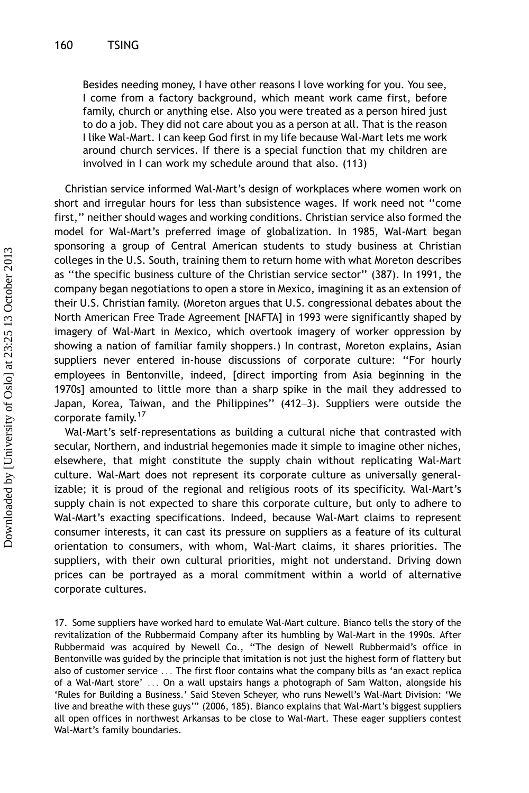Besides needing money, I have other reasons I love working for you. You see, I come from a factory background, which meant work came first, before family, church or anything else. Also you were treated as a person hired just to do a job. They did not care about you as a person at all. That is the reason I like Wal-Mart. I can keep God first in my life because Wal-Mart lets me work around church services. If there is a special function that my children are involved in I can work my schedule around that also. (113)

Christian service informed Wal-Mart's design of workplaces where women work on short and irregular hours for less than subsistence wages. If work need not ''come first,'' neither should wages and working conditions. Christian service also formed the model for Wal-Mart's preferred image of globalization. In 1985, Wal-Mart began sponsoring a group of Central American students to study business at Christian colleges in the U.S. South, training them to return home with what Moreton describes as ''the specific business culture of the Christian service sector'' (387). In 1991, the company began negotiations to open a store in Mexico, imagining it as an extension of their U.S. Christian family. (Moreton argues that U.S. congressional debates about the North American Free Trade Agreement [NAFTA] in 1993 were significantly shaped by imagery of Wal-Mart in Mexico, which overtook imagery of worker oppression by showing a nation of familiar family shoppers.) In contrast, Moreton explains, Asian suppliers never entered in-house discussions of corporate culture: ''For hourly employees in Bentonville, indeed, [direct importing from Asia beginning in the 1970s] amounted to little more than a sharp spike in the mail they addressed to Japan, Korea, Taiwan, and the Philippines" (412-3). Suppliers were outside the corporate family.<sup>17</sup>

Wal-Mart's self-representations as building a cultural niche that contrasted with secular, Northern, and industrial hegemonies made it simple to imagine other niches, elsewhere, that might constitute the supply chain without replicating Wal-Mart culture. Wal-Mart does not represent its corporate culture as universally generalizable; it is proud of the regional and religious roots of its specificity. Wal-Mart's supply chain is not expected to share this corporate culture, but only to adhere to Wal-Mart's exacting specifications. Indeed, because Wal-Mart claims to represent consumer interests, it can cast its pressure on suppliers as a feature of its cultural orientation to consumers, with whom, Wal-Mart claims, it shares priorities. The suppliers, with their own cultural priorities, might not understand. Driving down prices can be portrayed as a moral commitment within a world of alternative corporate cultures.

<sup>17.</sup> Some suppliers have worked hard to emulate Wal-Mart culture. Bianco tells the story of the revitalization of the Rubbermaid Company after its humbling by Wal-Mart in the 1990s. After Rubbermaid was acquired by Newell Co., ''The design of Newell Rubbermaid's office in Bentonville was guided by the principle that imitation is not just the highest form of flattery but also of customer service ... The first floor contains what the company bills as 'an exact replica of a Wal-Mart store' ... On a wall upstairs hangs a photograph of Sam Walton, alongside his 'Rules for Building a Business.' Said Steven Scheyer, who runs Newell's Wal-Mart Division: 'We live and breathe with these guys''' (2006, 185). Bianco explains that Wal-Mart's biggest suppliers all open offices in northwest Arkansas to be close to Wal-Mart. These eager suppliers contest Wal-Mart's family boundaries.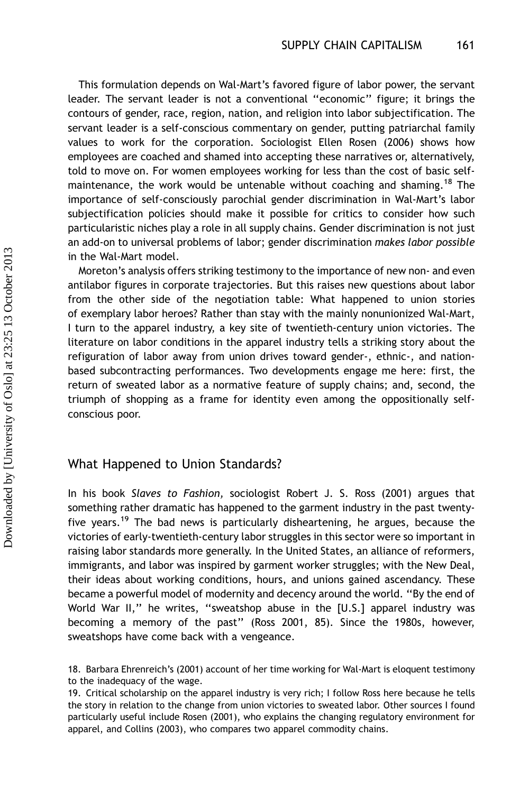This formulation depends on Wal-Mart's favored figure of labor power, the servant leader. The servant leader is not a conventional ''economic'' figure; it brings the contours of gender, race, region, nation, and religion into labor subjectification. The servant leader is a self-conscious commentary on gender, putting patriarchal family values to work for the corporation. Sociologist Ellen Rosen (2006) shows how employees are coached and shamed into accepting these narratives or, alternatively, told to move on. For women employees working for less than the cost of basic selfmaintenance, the work would be untenable without coaching and shaming.<sup>18</sup> The importance of self-consciously parochial gender discrimination in Wal-Mart's labor subjectification policies should make it possible for critics to consider how such particularistic niches play a role in all supply chains. Gender discrimination is not just an add-on to universal problems of labor; gender discrimination makes labor possible in the Wal-Mart model.

Moreton's analysis offers striking testimony to the importance of new non- and even antilabor figures in corporate trajectories. But this raises new questions about labor from the other side of the negotiation table: What happened to union stories of exemplary labor heroes? Rather than stay with the mainly nonunionized Wal-Mart, I turn to the apparel industry, a key site of twentieth-century union victories. The literature on labor conditions in the apparel industry tells a striking story about the refiguration of labor away from union drives toward gender-, ethnic-, and nationbased subcontracting performances. Two developments engage me here: first, the return of sweated labor as a normative feature of supply chains; and, second, the triumph of shopping as a frame for identity even among the oppositionally selfconscious poor.

#### What Happened to Union Standards?

In his book Slaves to Fashion, sociologist Robert J. S. Ross (2001) argues that something rather dramatic has happened to the garment industry in the past twentyfive years.<sup>19</sup> The bad news is particularly disheartening, he argues, because the victories of early-twentieth-century labor struggles in this sector were so important in raising labor standards more generally. In the United States, an alliance of reformers, immigrants, and labor was inspired by garment worker struggles; with the New Deal, their ideas about working conditions, hours, and unions gained ascendancy. These became a powerful model of modernity and decency around the world. ''By the end of World War II," he writes, "sweatshop abuse in the [U.S.] apparel industry was becoming a memory of the past'' (Ross 2001, 85). Since the 1980s, however, sweatshops have come back with a vengeance.

<sup>18.</sup> Barbara Ehrenreich's (2001) account of her time working for Wal-Mart is eloquent testimony to the inadequacy of the wage.

<sup>19.</sup> Critical scholarship on the apparel industry is very rich; I follow Ross here because he tells the story in relation to the change from union victories to sweated labor. Other sources I found particularly useful include Rosen (2001), who explains the changing regulatory environment for apparel, and Collins (2003), who compares two apparel commodity chains.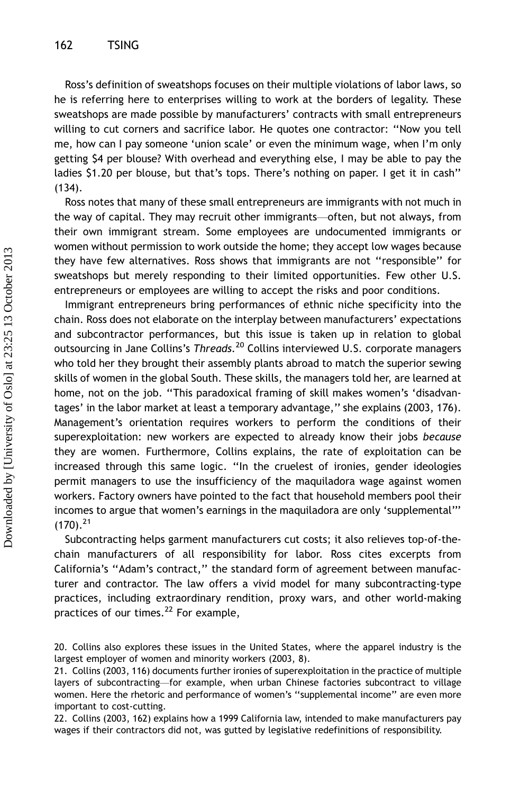Ross's definition of sweatshops focuses on their multiple violations of labor laws, so he is referring here to enterprises willing to work at the borders of legality. These sweatshops are made possible by manufacturers' contracts with small entrepreneurs willing to cut corners and sacrifice labor. He quotes one contractor: ''Now you tell me, how can I pay someone 'union scale' or even the minimum wage, when I'm only getting \$4 per blouse? With overhead and everything else, I may be able to pay the ladies \$1.20 per blouse, but that's tops. There's nothing on paper. I get it in cash'' (134).

Ross notes that many of these small entrepreneurs are immigrants with not much in the way of capital. They may recruit other immigrants—often, but not always, from their own immigrant stream. Some employees are undocumented immigrants or women without permission to work outside the home; they accept low wages because they have few alternatives. Ross shows that immigrants are not ''responsible'' for sweatshops but merely responding to their limited opportunities. Few other U.S. entrepreneurs or employees are willing to accept the risks and poor conditions.

Immigrant entrepreneurs bring performances of ethnic niche specificity into the chain. Ross does not elaborate on the interplay between manufacturers' expectations and subcontractor performances, but this issue is taken up in relation to global outsourcing in Jane Collins's Threads.<sup>20</sup> Collins interviewed U.S. corporate managers who told her they brought their assembly plants abroad to match the superior sewing skills of women in the global South. These skills, the managers told her, are learned at home, not on the job. ''This paradoxical framing of skill makes women's 'disadvantages' in the labor market at least a temporary advantage,'' she explains (2003, 176). Management's orientation requires workers to perform the conditions of their superexploitation: new workers are expected to already know their jobs because they are women. Furthermore, Collins explains, the rate of exploitation can be increased through this same logic. ''In the cruelest of ironies, gender ideologies permit managers to use the insufficiency of the maquiladora wage against women workers. Factory owners have pointed to the fact that household members pool their incomes to argue that women's earnings in the maquiladora are only 'supplemental'''  $(170).^{21}$ 

Subcontracting helps garment manufacturers cut costs; it also relieves top-of-thechain manufacturers of all responsibility for labor. Ross cites excerpts from California's ''Adam's contract,'' the standard form of agreement between manufacturer and contractor. The law offers a vivid model for many subcontracting-type practices, including extraordinary rendition, proxy wars, and other world-making practices of our times.<sup>22</sup> For example,

22. Collins (2003, 162) explains how a 1999 California law, intended to make manufacturers pay wages if their contractors did not, was gutted by legislative redefinitions of responsibility.

<sup>20.</sup> Collins also explores these issues in the United States, where the apparel industry is the largest employer of women and minority workers (2003, 8).

<sup>21.</sup> Collins (2003, 116) documents further ironies of superexploitation in the practice of multiple layers of subcontracting-for example, when urban Chinese factories subcontract to village women. Here the rhetoric and performance of women's ''supplemental income'' are even more important to cost-cutting.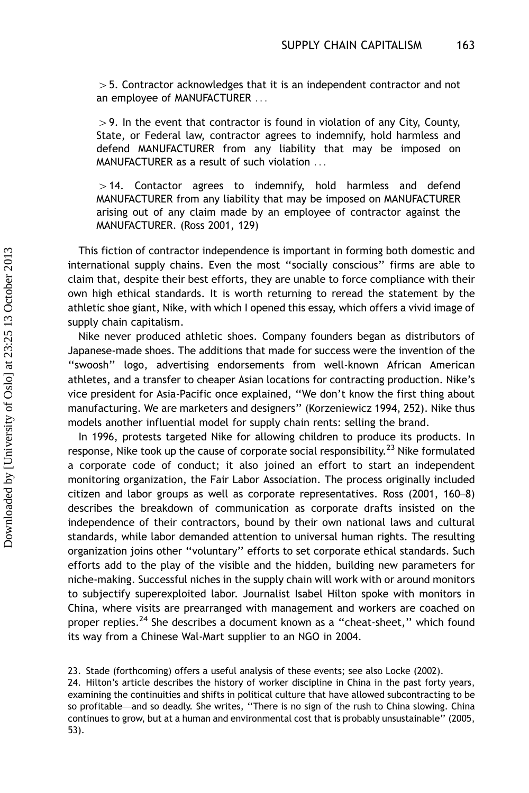$>$  5. Contractor acknowledges that it is an independent contractor and not an employee of MANUFACTURER ...

 $>$  9. In the event that contractor is found in violation of any City, County, State, or Federal law, contractor agrees to indemnify, hold harmless and defend MANUFACTURER from any liability that may be imposed on MANUFACTURER as a result of such violation ...

 $>$  14. Contactor agrees to indemnify, hold harmless and defend MANUFACTURER from any liability that may be imposed on MANUFACTURER arising out of any claim made by an employee of contractor against the MANUFACTURER. (Ross 2001, 129)

This fiction of contractor independence is important in forming both domestic and international supply chains. Even the most ''socially conscious'' firms are able to claim that, despite their best efforts, they are unable to force compliance with their own high ethical standards. It is worth returning to reread the statement by the athletic shoe giant, Nike, with which I opened this essay, which offers a vivid image of supply chain capitalism.

Nike never produced athletic shoes. Company founders began as distributors of Japanese-made shoes. The additions that made for success were the invention of the ''swoosh'' logo, advertising endorsements from well-known African American athletes, and a transfer to cheaper Asian locations for contracting production. Nike's vice president for Asia-Pacific once explained, ''We don't know the first thing about manufacturing. We are marketers and designers'' (Korzeniewicz 1994, 252). Nike thus models another influential model for supply chain rents: selling the brand.

In 1996, protests targeted Nike for allowing children to produce its products. In response, Nike took up the cause of corporate social responsibility.<sup>23</sup> Nike formulated a corporate code of conduct; it also joined an effort to start an independent monitoring organization, the Fair Labor Association. The process originally included citizen and labor groups as well as corporate representatives. Ross  $(2001, 160-8)$ describes the breakdown of communication as corporate drafts insisted on the independence of their contractors, bound by their own national laws and cultural standards, while labor demanded attention to universal human rights. The resulting organization joins other ''voluntary'' efforts to set corporate ethical standards. Such efforts add to the play of the visible and the hidden, building new parameters for niche-making. Successful niches in the supply chain will work with or around monitors to subjectify superexploited labor. Journalist Isabel Hilton spoke with monitors in China, where visits are prearranged with management and workers are coached on proper replies.<sup>24</sup> She describes a document known as a "cheat-sheet," which found its way from a Chinese Wal-Mart supplier to an NGO in 2004.

23. Stade (forthcoming) offers a useful analysis of these events; see also Locke (2002).

24. Hilton's article describes the history of worker discipline in China in the past forty years, examining the continuities and shifts in political culture that have allowed subcontracting to be so profitable—and so deadly. She writes, "There is no sign of the rush to China slowing. China continues to grow, but at a human and environmental cost that is probably unsustainable'' (2005, 53).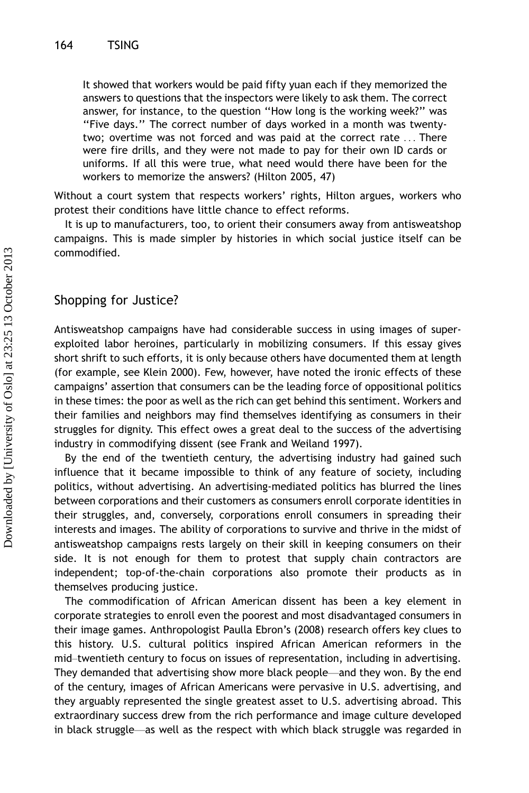It showed that workers would be paid fifty yuan each if they memorized the answers to questions that the inspectors were likely to ask them. The correct answer, for instance, to the question ''How long is the working week?'' was ''Five days.'' The correct number of days worked in a month was twentytwo; overtime was not forced and was paid at the correct rate ... There were fire drills, and they were not made to pay for their own ID cards or uniforms. If all this were true, what need would there have been for the workers to memorize the answers? (Hilton 2005, 47)

Without a court system that respects workers' rights, Hilton argues, workers who protest their conditions have little chance to effect reforms.

It is up to manufacturers, too, to orient their consumers away from antisweatshop campaigns. This is made simpler by histories in which social justice itself can be commodified.

#### Shopping for Justice?

Antisweatshop campaigns have had considerable success in using images of superexploited labor heroines, particularly in mobilizing consumers. If this essay gives short shrift to such efforts, it is only because others have documented them at length (for example, see Klein 2000). Few, however, have noted the ironic effects of these campaigns' assertion that consumers can be the leading force of oppositional politics in these times: the poor as well as the rich can get behind this sentiment. Workers and their families and neighbors may find themselves identifying as consumers in their struggles for dignity. This effect owes a great deal to the success of the advertising industry in commodifying dissent (see Frank and Weiland 1997).

By the end of the twentieth century, the advertising industry had gained such influence that it became impossible to think of any feature of society, including politics, without advertising. An advertising-mediated politics has blurred the lines between corporations and their customers as consumers enroll corporate identities in their struggles, and, conversely, corporations enroll consumers in spreading their interests and images. The ability of corporations to survive and thrive in the midst of antisweatshop campaigns rests largely on their skill in keeping consumers on their side. It is not enough for them to protest that supply chain contractors are independent; top-of-the-chain corporations also promote their products as in themselves producing justice.

The commodification of African American dissent has been a key element in corporate strategies to enroll even the poorest and most disadvantaged consumers in their image games. Anthropologist Paulla Ebron's (2008) research offers key clues to this history. U.S. cultural politics inspired African American reformers in the mid-twentieth century to focus on issues of representation, including in advertising. They demanded that advertising show more black people—and they won. By the end of the century, images of African Americans were pervasive in U.S. advertising, and they arguably represented the single greatest asset to U.S. advertising abroad. This extraordinary success drew from the rich performance and image culture developed in black struggle—as well as the respect with which black struggle was regarded in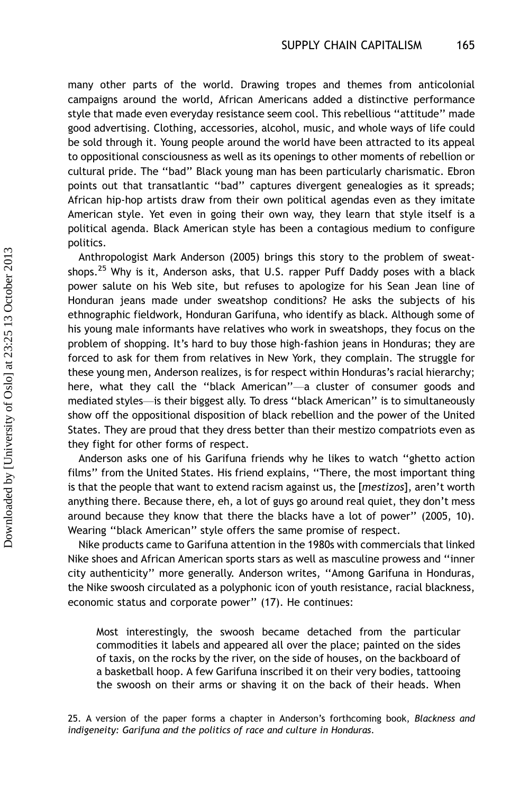many other parts of the world. Drawing tropes and themes from anticolonial campaigns around the world, African Americans added a distinctive performance style that made even everyday resistance seem cool. This rebellious ''attitude'' made good advertising. Clothing, accessories, alcohol, music, and whole ways of life could be sold through it. Young people around the world have been attracted to its appeal to oppositional consciousness as well as its openings to other moments of rebellion or cultural pride. The ''bad'' Black young man has been particularly charismatic. Ebron points out that transatlantic ''bad'' captures divergent genealogies as it spreads; African hip-hop artists draw from their own political agendas even as they imitate American style. Yet even in going their own way, they learn that style itself is a political agenda. Black American style has been a contagious medium to configure politics.

Anthropologist Mark Anderson (2005) brings this story to the problem of sweatshops.<sup>25</sup> Why is it, Anderson asks, that U.S. rapper Puff Daddy poses with a black power salute on his Web site, but refuses to apologize for his Sean Jean line of Honduran jeans made under sweatshop conditions? He asks the subjects of his ethnographic fieldwork, Honduran Garifuna, who identify as black. Although some of his young male informants have relatives who work in sweatshops, they focus on the problem of shopping. It's hard to buy those high-fashion jeans in Honduras; they are forced to ask for them from relatives in New York, they complain. The struggle for these young men, Anderson realizes, is for respect within Honduras's racial hierarchy; here, what they call the "black American"—a cluster of consumer goods and mediated styles—is their biggest ally. To dress "black American" is to simultaneously show off the oppositional disposition of black rebellion and the power of the United States. They are proud that they dress better than their mestizo compatriots even as they fight for other forms of respect.

Anderson asks one of his Garifuna friends why he likes to watch ''ghetto action films'' from the United States. His friend explains, ''There, the most important thing is that the people that want to extend racism against us, the [mestizos], aren't worth anything there. Because there, eh, a lot of guys go around real quiet, they don't mess around because they know that there the blacks have a lot of power'' (2005, 10). Wearing ''black American'' style offers the same promise of respect.

Nike products came to Garifuna attention in the 1980s with commercials that linked Nike shoes and African American sports stars as well as masculine prowess and ''inner city authenticity'' more generally. Anderson writes, ''Among Garifuna in Honduras, the Nike swoosh circulated as a polyphonic icon of youth resistance, racial blackness, economic status and corporate power'' (17). He continues:

Most interestingly, the swoosh became detached from the particular commodities it labels and appeared all over the place; painted on the sides of taxis, on the rocks by the river, on the side of houses, on the backboard of a basketball hoop. A few Garifuna inscribed it on their very bodies, tattooing the swoosh on their arms or shaving it on the back of their heads. When

25. A version of the paper forms a chapter in Anderson's forthcoming book, *Blackness and* indigeneity: Garifuna and the politics of race and culture in Honduras.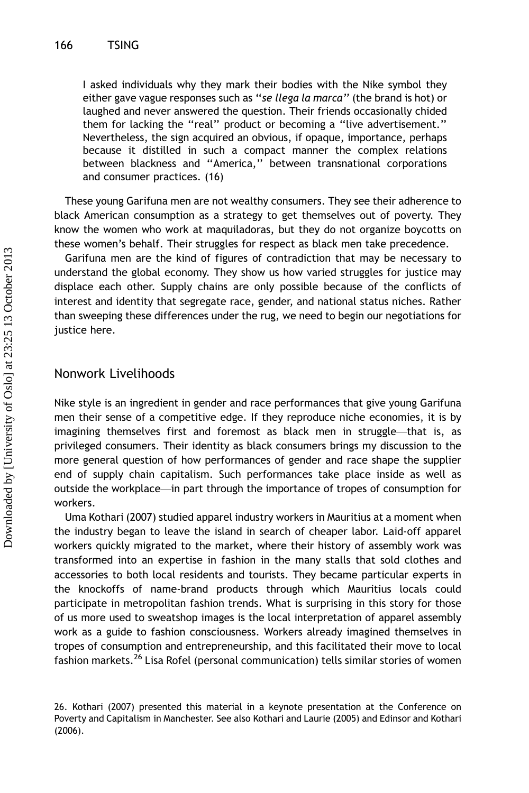I asked individuals why they mark their bodies with the Nike symbol they either gave vague responses such as ''se llega la marca'' (the brand is hot) or laughed and never answered the question. Their friends occasionally chided them for lacking the ''real'' product or becoming a ''live advertisement.'' Nevertheless, the sign acquired an obvious, if opaque, importance, perhaps because it distilled in such a compact manner the complex relations between blackness and ''America,'' between transnational corporations and consumer practices. (16)

These young Garifuna men are not wealthy consumers. They see their adherence to black American consumption as a strategy to get themselves out of poverty. They know the women who work at maquiladoras, but they do not organize boycotts on these women's behalf. Their struggles for respect as black men take precedence.

Garifuna men are the kind of figures of contradiction that may be necessary to understand the global economy. They show us how varied struggles for justice may displace each other. Supply chains are only possible because of the conflicts of interest and identity that segregate race, gender, and national status niches. Rather than sweeping these differences under the rug, we need to begin our negotiations for justice here.

#### Nonwork Livelihoods

Nike style is an ingredient in gender and race performances that give young Garifuna men their sense of a competitive edge. If they reproduce niche economies, it is by imagining themselves first and foremost as black men in struggle—that is, as privileged consumers. Their identity as black consumers brings my discussion to the more general question of how performances of gender and race shape the supplier end of supply chain capitalism. Such performances take place inside as well as outside the workplace—in part through the importance of tropes of consumption for workers.

Uma Kothari (2007) studied apparel industry workers in Mauritius at a moment when the industry began to leave the island in search of cheaper labor. Laid-off apparel workers quickly migrated to the market, where their history of assembly work was transformed into an expertise in fashion in the many stalls that sold clothes and accessories to both local residents and tourists. They became particular experts in the knockoffs of name-brand products through which Mauritius locals could participate in metropolitan fashion trends. What is surprising in this story for those of us more used to sweatshop images is the local interpretation of apparel assembly work as a guide to fashion consciousness. Workers already imagined themselves in tropes of consumption and entrepreneurship, and this facilitated their move to local fashion markets.<sup>26</sup> Lisa Rofel (personal communication) tells similar stories of women

<sup>26.</sup> Kothari (2007) presented this material in a keynote presentation at the Conference on Poverty and Capitalism in Manchester. See also Kothari and Laurie (2005) and Edinsor and Kothari (2006).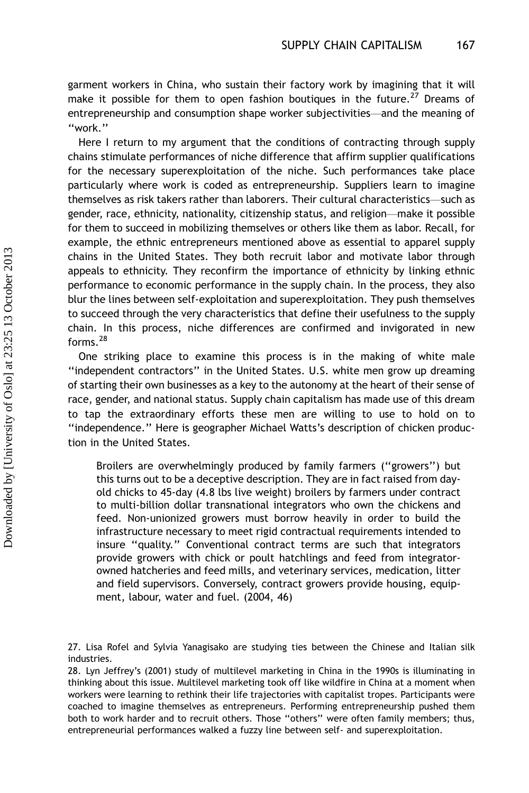garment workers in China, who sustain their factory work by imagining that it will make it possible for them to open fashion boutiques in the future.<sup>27</sup> Dreams of entrepreneurship and consumption shape worker subjectivities—and the meaning of ''work.''

Here I return to my argument that the conditions of contracting through supply chains stimulate performances of niche difference that affirm supplier qualifications for the necessary superexploitation of the niche. Such performances take place particularly where work is coded as entrepreneurship. Suppliers learn to imagine themselves as risk takers rather than laborers. Their cultural characteristics—such as gender, race, ethnicity, nationality, citizenship status, and religion—make it possible for them to succeed in mobilizing themselves or others like them as labor. Recall, for example, the ethnic entrepreneurs mentioned above as essential to apparel supply chains in the United States. They both recruit labor and motivate labor through appeals to ethnicity. They reconfirm the importance of ethnicity by linking ethnic performance to economic performance in the supply chain. In the process, they also blur the lines between self-exploitation and superexploitation. They push themselves to succeed through the very characteristics that define their usefulness to the supply chain. In this process, niche differences are confirmed and invigorated in new forms.<sup>28</sup>

One striking place to examine this process is in the making of white male ''independent contractors'' in the United States. U.S. white men grow up dreaming of starting their own businesses as a key to the autonomy at the heart of their sense of race, gender, and national status. Supply chain capitalism has made use of this dream to tap the extraordinary efforts these men are willing to use to hold on to "independence." Here is geographer Michael Watts's description of chicken production in the United States.

Broilers are overwhelmingly produced by family farmers (''growers'') but this turns out to be a deceptive description. They are in fact raised from dayold chicks to 45-day (4.8 lbs live weight) broilers by farmers under contract to multi-billion dollar transnational integrators who own the chickens and feed. Non-unionized growers must borrow heavily in order to build the infrastructure necessary to meet rigid contractual requirements intended to insure ''quality.'' Conventional contract terms are such that integrators provide growers with chick or poult hatchlings and feed from integratorowned hatcheries and feed mills, and veterinary services, medication, litter and field supervisors. Conversely, contract growers provide housing, equipment, labour, water and fuel. (2004, 46)

<sup>27.</sup> Lisa Rofel and Sylvia Yanagisako are studying ties between the Chinese and Italian silk industries.

<sup>28.</sup> Lyn Jeffrey's (2001) study of multilevel marketing in China in the 1990s is illuminating in thinking about this issue. Multilevel marketing took off like wildfire in China at a moment when workers were learning to rethink their life trajectories with capitalist tropes. Participants were coached to imagine themselves as entrepreneurs. Performing entrepreneurship pushed them both to work harder and to recruit others. Those ''others'' were often family members; thus, entrepreneurial performances walked a fuzzy line between self- and superexploitation.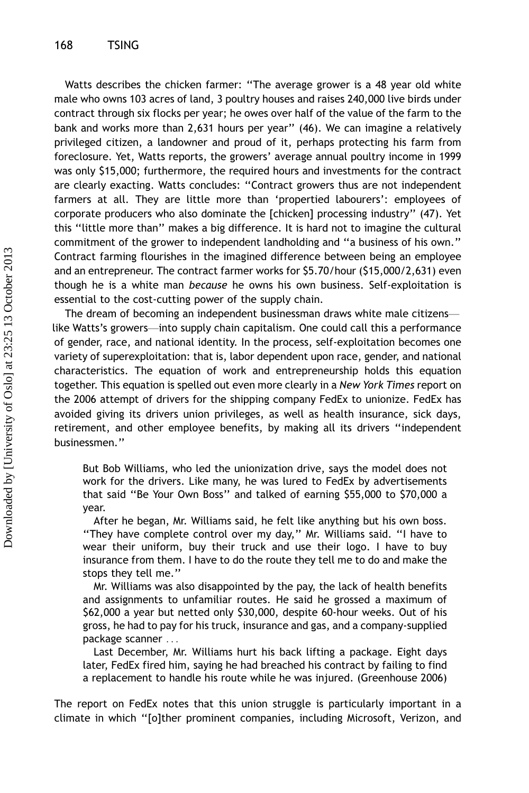Watts describes the chicken farmer: ''The average grower is a 48 year old white male who owns 103 acres of land, 3 poultry houses and raises 240,000 live birds under contract through six flocks per year; he owes over half of the value of the farm to the bank and works more than 2,631 hours per year'' (46). We can imagine a relatively privileged citizen, a landowner and proud of it, perhaps protecting his farm from foreclosure. Yet, Watts reports, the growers' average annual poultry income in 1999 was only \$15,000; furthermore, the required hours and investments for the contract are clearly exacting. Watts concludes: ''Contract growers thus are not independent farmers at all. They are little more than 'propertied labourers': employees of corporate producers who also dominate the [chicken] processing industry'' (47). Yet this ''little more than'' makes a big difference. It is hard not to imagine the cultural commitment of the grower to independent landholding and ''a business of his own.'' Contract farming flourishes in the imagined difference between being an employee and an entrepreneur. The contract farmer works for \$5.70/hour (\$15,000/2,631) even though he is a white man because he owns his own business. Self-exploitation is essential to the cost-cutting power of the supply chain.

The dream of becoming an independent businessman draws white male citizens like Watts's growers-into supply chain capitalism. One could call this a performance of gender, race, and national identity. In the process, self-exploitation becomes one variety of superexploitation: that is, labor dependent upon race, gender, and national characteristics. The equation of work and entrepreneurship holds this equation together. This equation is spelled out even more clearly in a New York Times report on the 2006 attempt of drivers for the shipping company FedEx to unionize. FedEx has avoided giving its drivers union privileges, as well as health insurance, sick days, retirement, and other employee benefits, by making all its drivers ''independent businessmen.''

But Bob Williams, who led the unionization drive, says the model does not work for the drivers. Like many, he was lured to FedEx by advertisements that said ''Be Your Own Boss'' and talked of earning \$55,000 to \$70,000 a year.

After he began, Mr. Williams said, he felt like anything but his own boss. ''They have complete control over my day,'' Mr. Williams said. ''I have to wear their uniform, buy their truck and use their logo. I have to buy insurance from them. I have to do the route they tell me to do and make the stops they tell me.''

Mr. Williams was also disappointed by the pay, the lack of health benefits and assignments to unfamiliar routes. He said he grossed a maximum of \$62,000 a year but netted only \$30,000, despite 60-hour weeks. Out of his gross, he had to pay for his truck, insurance and gas, and a company-supplied package scanner ...

Last December, Mr. Williams hurt his back lifting a package. Eight days later, FedEx fired him, saying he had breached his contract by failing to find a replacement to handle his route while he was injured. (Greenhouse 2006)

The report on FedEx notes that this union struggle is particularly important in a climate in which ''[o]ther prominent companies, including Microsoft, Verizon, and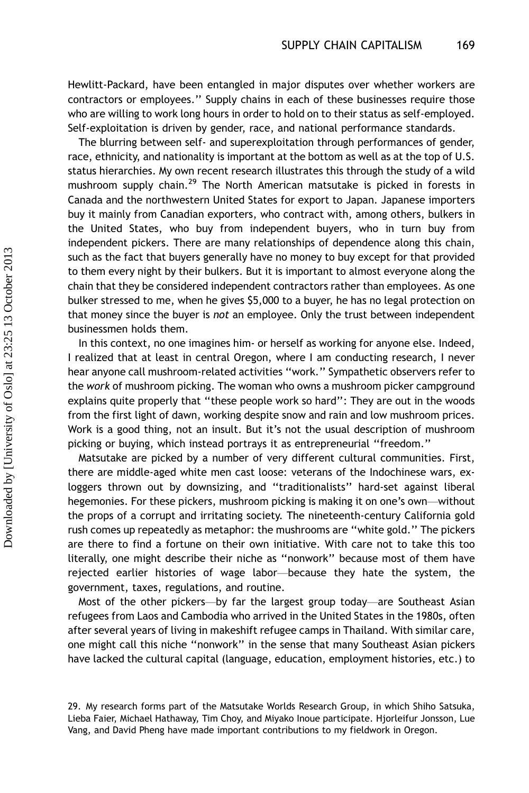Hewlitt-Packard, have been entangled in major disputes over whether workers are contractors or employees.'' Supply chains in each of these businesses require those who are willing to work long hours in order to hold on to their status as self-employed. Self-exploitation is driven by gender, race, and national performance standards.

The blurring between self- and superexploitation through performances of gender, race, ethnicity, and nationality is important at the bottom as well as at the top of U.S. status hierarchies. My own recent research illustrates this through the study of a wild mushroom supply chain.<sup>29</sup> The North American matsutake is picked in forests in Canada and the northwestern United States for export to Japan. Japanese importers buy it mainly from Canadian exporters, who contract with, among others, bulkers in the United States, who buy from independent buyers, who in turn buy from independent pickers. There are many relationships of dependence along this chain, such as the fact that buyers generally have no money to buy except for that provided to them every night by their bulkers. But it is important to almost everyone along the chain that they be considered independent contractors rather than employees. As one bulker stressed to me, when he gives \$5,000 to a buyer, he has no legal protection on that money since the buyer is not an employee. Only the trust between independent businessmen holds them.

In this context, no one imagines him- or herself as working for anyone else. Indeed, I realized that at least in central Oregon, where I am conducting research, I never hear anyone call mushroom-related activities ''work.'' Sympathetic observers refer to the work of mushroom picking. The woman who owns a mushroom picker campground explains quite properly that ''these people work so hard'': They are out in the woods from the first light of dawn, working despite snow and rain and low mushroom prices. Work is a good thing, not an insult. But it's not the usual description of mushroom picking or buying, which instead portrays it as entrepreneurial ''freedom.''

Matsutake are picked by a number of very different cultural communities. First, there are middle-aged white men cast loose: veterans of the Indochinese wars, exloggers thrown out by downsizing, and ''traditionalists'' hard-set against liberal hegemonies. For these pickers, mushroom picking is making it on one's own--without the props of a corrupt and irritating society. The nineteenth-century California gold rush comes up repeatedly as metaphor: the mushrooms are ''white gold.'' The pickers are there to find a fortune on their own initiative. With care not to take this too literally, one might describe their niche as ''nonwork'' because most of them have rejected earlier histories of wage labor-because they hate the system, the government, taxes, regulations, and routine.

Most of the other pickers-by far the largest group today-are Southeast Asian refugees from Laos and Cambodia who arrived in the United States in the 1980s, often after several years of living in makeshift refugee camps in Thailand. With similar care, one might call this niche ''nonwork'' in the sense that many Southeast Asian pickers have lacked the cultural capital (language, education, employment histories, etc.) to

<sup>29.</sup> My research forms part of the Matsutake Worlds Research Group, in which Shiho Satsuka, Lieba Faier, Michael Hathaway, Tim Choy, and Miyako Inoue participate. Hjorleifur Jonsson, Lue Vang, and David Pheng have made important contributions to my fieldwork in Oregon.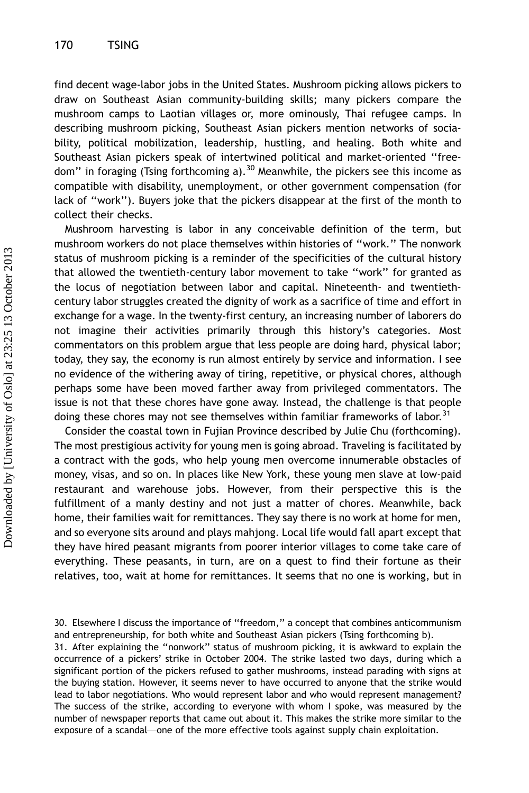find decent wage-labor jobs in the United States. Mushroom picking allows pickers to draw on Southeast Asian community-building skills; many pickers compare the mushroom camps to Laotian villages or, more ominously, Thai refugee camps. In describing mushroom picking, Southeast Asian pickers mention networks of sociability, political mobilization, leadership, hustling, and healing. Both white and Southeast Asian pickers speak of intertwined political and market-oriented ''freedom" in foraging (Tsing forthcoming a).<sup>30</sup> Meanwhile, the pickers see this income as compatible with disability, unemployment, or other government compensation (for lack of ''work''). Buyers joke that the pickers disappear at the first of the month to collect their checks.

Mushroom harvesting is labor in any conceivable definition of the term, but mushroom workers do not place themselves within histories of ''work.'' The nonwork status of mushroom picking is a reminder of the specificities of the cultural history that allowed the twentieth-century labor movement to take ''work'' for granted as the locus of negotiation between labor and capital. Nineteenth- and twentiethcentury labor struggles created the dignity of work as a sacrifice of time and effort in exchange for a wage. In the twenty-first century, an increasing number of laborers do not imagine their activities primarily through this history's categories. Most commentators on this problem argue that less people are doing hard, physical labor; today, they say, the economy is run almost entirely by service and information. I see no evidence of the withering away of tiring, repetitive, or physical chores, although perhaps some have been moved farther away from privileged commentators. The issue is not that these chores have gone away. Instead, the challenge is that people doing these chores may not see themselves within familiar frameworks of labor.<sup>31</sup>

Consider the coastal town in Fujian Province described by Julie Chu (forthcoming). The most prestigious activity for young men is going abroad. Traveling is facilitated by a contract with the gods, who help young men overcome innumerable obstacles of money, visas, and so on. In places like New York, these young men slave at low-paid restaurant and warehouse jobs. However, from their perspective this is the fulfillment of a manly destiny and not just a matter of chores. Meanwhile, back home, their families wait for remittances. They say there is no work at home for men, and so everyone sits around and plays mahjong. Local life would fall apart except that they have hired peasant migrants from poorer interior villages to come take care of everything. These peasants, in turn, are on a quest to find their fortune as their relatives, too, wait at home for remittances. It seems that no one is working, but in

<sup>30.</sup> Elsewhere I discuss the importance of ''freedom,'' a concept that combines anticommunism and entrepreneurship, for both white and Southeast Asian pickers (Tsing forthcoming b).

<sup>31.</sup> After explaining the ''nonwork'' status of mushroom picking, it is awkward to explain the occurrence of a pickers' strike in October 2004. The strike lasted two days, during which a significant portion of the pickers refused to gather mushrooms, instead parading with signs at the buying station. However, it seems never to have occurred to anyone that the strike would lead to labor negotiations. Who would represent labor and who would represent management? The success of the strike, according to everyone with whom I spoke, was measured by the number of newspaper reports that came out about it. This makes the strike more similar to the exposure of a scandal—one of the more effective tools against supply chain exploitation.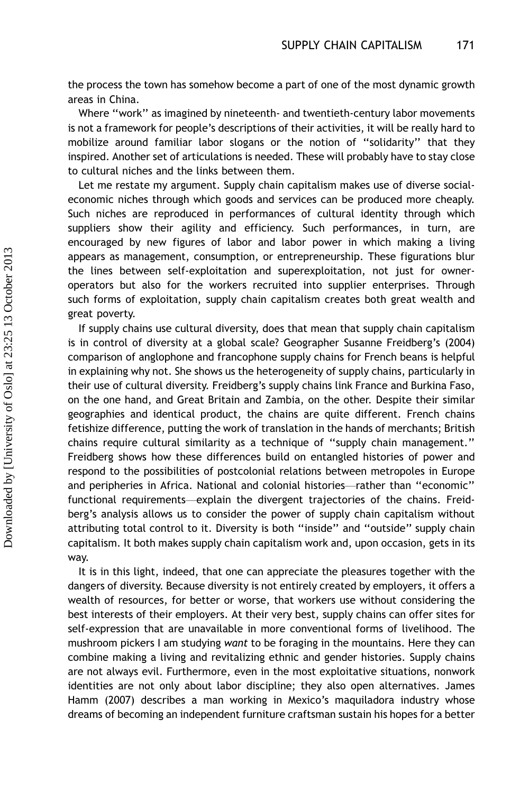the process the town has somehow become a part of one of the most dynamic growth areas in China.

Where ''work'' as imagined by nineteenth- and twentieth-century labor movements is not a framework for people's descriptions of their activities, it will be really hard to mobilize around familiar labor slogans or the notion of ''solidarity'' that they inspired. Another set of articulations is needed. These will probably have to stay close to cultural niches and the links between them.

Let me restate my argument. Supply chain capitalism makes use of diverse socialeconomic niches through which goods and services can be produced more cheaply. Such niches are reproduced in performances of cultural identity through which suppliers show their agility and efficiency. Such performances, in turn, are encouraged by new figures of labor and labor power in which making a living appears as management, consumption, or entrepreneurship. These figurations blur the lines between self-exploitation and superexploitation, not just for owneroperators but also for the workers recruited into supplier enterprises. Through such forms of exploitation, supply chain capitalism creates both great wealth and great poverty.

If supply chains use cultural diversity, does that mean that supply chain capitalism is in control of diversity at a global scale? Geographer Susanne Freidberg's (2004) comparison of anglophone and francophone supply chains for French beans is helpful in explaining why not. She shows us the heterogeneity of supply chains, particularly in their use of cultural diversity. Freidberg's supply chains link France and Burkina Faso, on the one hand, and Great Britain and Zambia, on the other. Despite their similar geographies and identical product, the chains are quite different. French chains fetishize difference, putting the work of translation in the hands of merchants; British chains require cultural similarity as a technique of ''supply chain management.'' Freidberg shows how these differences build on entangled histories of power and respond to the possibilities of postcolonial relations between metropoles in Europe and peripheries in Africa. National and colonial histories—rather than "economic" functional requirements—explain the divergent trajectories of the chains. Freidberg's analysis allows us to consider the power of supply chain capitalism without attributing total control to it. Diversity is both ''inside'' and ''outside'' supply chain capitalism. It both makes supply chain capitalism work and, upon occasion, gets in its way.

It is in this light, indeed, that one can appreciate the pleasures together with the dangers of diversity. Because diversity is not entirely created by employers, it offers a wealth of resources, for better or worse, that workers use without considering the best interests of their employers. At their very best, supply chains can offer sites for self-expression that are unavailable in more conventional forms of livelihood. The mushroom pickers I am studying want to be foraging in the mountains. Here they can combine making a living and revitalizing ethnic and gender histories. Supply chains are not always evil. Furthermore, even in the most exploitative situations, nonwork identities are not only about labor discipline; they also open alternatives. James Hamm (2007) describes a man working in Mexico's maquiladora industry whose dreams of becoming an independent furniture craftsman sustain his hopes for a better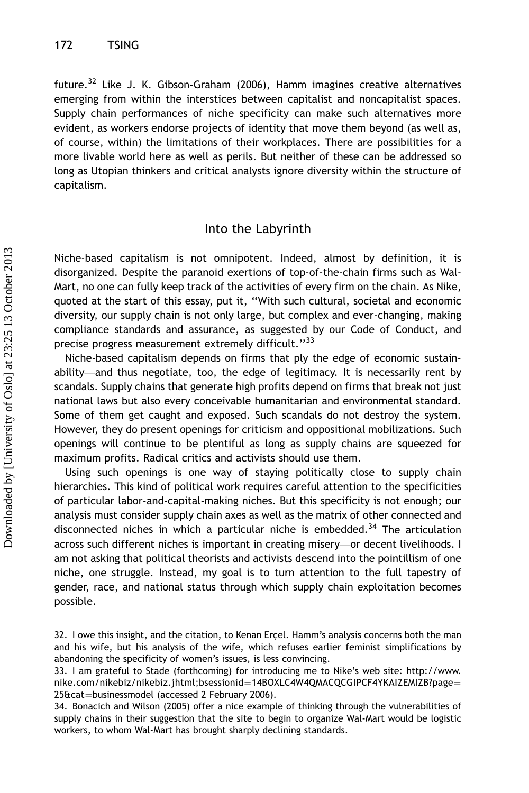future.<sup>32</sup> Like J. K. Gibson-Graham (2006), Hamm imagines creative alternatives emerging from within the interstices between capitalist and noncapitalist spaces. Supply chain performances of niche specificity can make such alternatives more evident, as workers endorse projects of identity that move them beyond (as well as, of course, within) the limitations of their workplaces. There are possibilities for a more livable world here as well as perils. But neither of these can be addressed so long as Utopian thinkers and critical analysts ignore diversity within the structure of capitalism.

#### Into the Labyrinth

Niche-based capitalism is not omnipotent. Indeed, almost by definition, it is disorganized. Despite the paranoid exertions of top-of-the-chain firms such as Wal-Mart, no one can fully keep track of the activities of every firm on the chain. As Nike, quoted at the start of this essay, put it, ''With such cultural, societal and economic diversity, our supply chain is not only large, but complex and ever-changing, making compliance standards and assurance, as suggested by our Code of Conduct, and precise progress measurement extremely difficult."<sup>33</sup>

Niche-based capitalism depends on firms that ply the edge of economic sustainability—and thus negotiate, too, the edge of legitimacy. It is necessarily rent by scandals. Supply chains that generate high profits depend on firms that break not just national laws but also every conceivable humanitarian and environmental standard. Some of them get caught and exposed. Such scandals do not destroy the system. However, they do present openings for criticism and oppositional mobilizations. Such openings will continue to be plentiful as long as supply chains are squeezed for maximum profits. Radical critics and activists should use them.

Using such openings is one way of staying politically close to supply chain hierarchies. This kind of political work requires careful attention to the specificities of particular labor-and-capital-making niches. But this specificity is not enough; our analysis must consider supply chain axes as well as the matrix of other connected and disconnected niches in which a particular niche is embedded.<sup>34</sup> The articulation across such different niches is important in creating misery-or decent livelihoods. I am not asking that political theorists and activists descend into the pointillism of one niche, one struggle. Instead, my goal is to turn attention to the full tapestry of gender, race, and national status through which supply chain exploitation becomes possible.

<sup>32.</sup> I owe this insight, and the citation, to Kenan Ercel. Hamm's analysis concerns both the man and his wife, but his analysis of the wife, which refuses earlier feminist simplifications by abandoning the specificity of women's issues, is less convincing.

<sup>33.</sup> I am grateful to Stade (forthcoming) for introducing me to Nike's web site: http://www. nike.com/nikebiz/nikebiz.jhtml;bsessionid=14BOXLC4W4QMACQCGIPCF4YKAIZEMIZB?page= 25&cat=businessmodel (accessed 2 February 2006).

<sup>34.</sup> Bonacich and Wilson (2005) offer a nice example of thinking through the vulnerabilities of supply chains in their suggestion that the site to begin to organize Wal-Mart would be logistic workers, to whom Wal-Mart has brought sharply declining standards.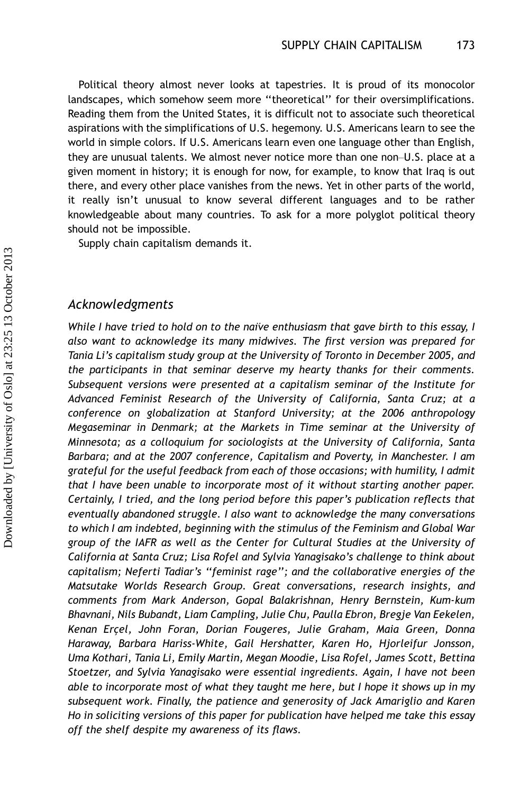Political theory almost never looks at tapestries. It is proud of its monocolor landscapes, which somehow seem more ''theoretical'' for their oversimplifications. Reading them from the United States, it is difficult not to associate such theoretical aspirations with the simplifications of U.S. hegemony. U.S. Americans learn to see the world in simple colors. If U.S. Americans learn even one language other than English, they are unusual talents. We almost never notice more than one non-U.S. place at a given moment in history; it is enough for now, for example, to know that Iraq is out there, and every other place vanishes from the news. Yet in other parts of the world, it really isn't unusual to know several different languages and to be rather knowledgeable about many countries. To ask for a more polyglot political theory should not be impossible.

Supply chain capitalism demands it.

#### Acknowledgments

While I have tried to hold on to the naive enthusiasm that gave birth to this essay, I also want to acknowledge its many midwives. The first version was prepared for Tania Li's capitalism study group at the University of Toronto in December 2005, and the participants in that seminar deserve my hearty thanks for their comments. Subsequent versions were presented at a capitalism seminar of the Institute for Advanced Feminist Research of the University of California, Santa Cruz; at a conference on globalization at Stanford University; at the 2006 anthropology Megaseminar in Denmark; at the Markets in Time seminar at the University of Minnesota; as a colloquium for sociologists at the University of California, Santa Barbara; and at the 2007 conference, Capitalism and Poverty, in Manchester. I am grateful for the useful feedback from each of those occasions; with humility, I admit that I have been unable to incorporate most of it without starting another paper. Certainly, I tried, and the long period before this paper's publication reflects that eventually abandoned struggle. I also want to acknowledge the many conversations to which I am indebted, beginning with the stimulus of the Feminism and Global War group of the IAFR as well as the Center for Cultural Studies at the University of California at Santa Cruz; Lisa Rofel and Sylvia Yanagisako's challenge to think about capitalism; Neferti Tadiar's ''feminist rage''; and the collaborative energies of the Matsutake Worlds Research Group. Great conversations, research insights, and comments from Mark Anderson, Gopal Balakrishnan, Henry Bernstein, Kum-kum Bhavnani, Nils Bubandt, Liam Campling, Julie Chu, Paulla Ebron, Bregje Van Eekelen, Kenan Erçel, John Foran, Dorian Fougeres, Julie Graham, Maia Green, Donna Haraway, Barbara Hariss-White, Gail Hershatter, Karen Ho, Hjorleifur Jonsson, Uma Kothari, Tania Li, Emily Martin, Megan Moodie, Lisa Rofel, James Scott, Bettina Stoetzer, and Sylvia Yanagisako were essential ingredients. Again, I have not been able to incorporate most of what they taught me here, but I hope it shows up in my subsequent work. Finally, the patience and generosity of Jack Amariglio and Karen Ho in soliciting versions of this paper for publication have helped me take this essay off the shelf despite my awareness of its flaws.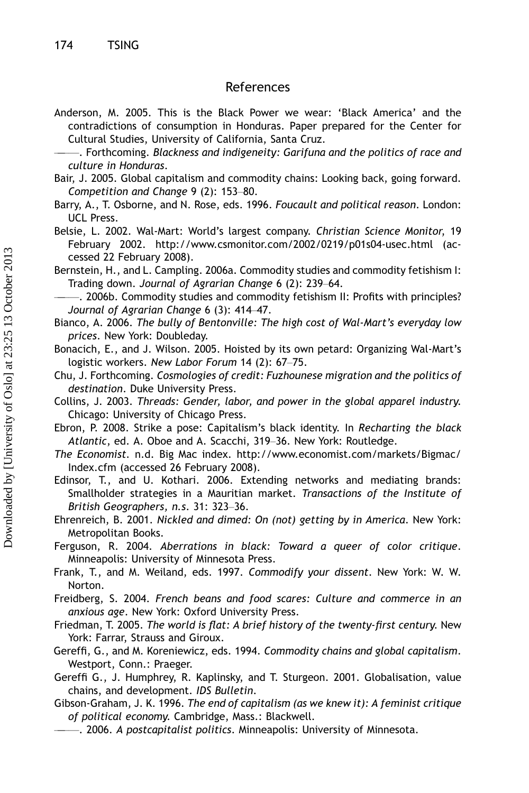#### References

Anderson, M. 2005. This is the Black Power we wear: 'Black America' and the contradictions of consumption in Honduras. Paper prepared for the Center for Cultural Studies, University of California, Santa Cruz.

- Bair, J. 2005. Global capitalism and commodity chains: Looking back, going forward. Competition and Change  $9$  (2): 153-80.
- Barry, A., T. Osborne, and N. Rose, eds. 1996. Foucault and political reason. London: UCL Press.
- Belsie, L. 2002. Wal-Mart: World's largest company. Christian Science Monitor, 19 February 2002.<http://www.csmonitor.com/2002/0219/p01s04-usec.html> (accessed 22 February 2008).

Bernstein, H., and L. Campling. 2006a. Commodity studies and commodity fetishism I: Trading down. Journal of Agrarian Change 6 (2): 239-64.

- -. 2006b. Commodity studies and commodity fetishism II: Profits with principles? Journal of Agrarian Change 6 (3): 414-47.
- Bianco, A. 2006. The bully of Bentonville: The high cost of Wal-Mart's everyday low prices. New York: Doubleday.
- Bonacich, E., and J. Wilson. 2005. Hoisted by its own petard: Organizing Wal-Mart's logistic workers. New Labor Forum 14 (2): 67-75.
- Chu, J. Forthcoming. Cosmologies of credit: Fuzhounese migration and the politics of destination. Duke University Press.
- Collins, J. 2003. Threads: Gender, labor, and power in the global apparel industry. Chicago: University of Chicago Press.
- Ebron, P. 2008. Strike a pose: Capitalism's black identity. In Recharting the black Atlantic, ed. A. Oboe and A. Scacchi, 319-36. New York: Routledge.
- The Economist. n.d. Big Mac index. [http://www.economist.com/markets/Bigmac/](http://www.economist.com/markets/Bigmac/Index.cfm) [Index.cfm](http://www.economist.com/markets/Bigmac/Index.cfm) (accessed 26 February 2008).
- Edinsor, T., and U. Kothari. 2006. Extending networks and mediating brands: Smallholder strategies in a Mauritian market. Transactions of the Institute of British Geographers, n.s. 31: 323-36.
- Ehrenreich, B. 2001. Nickled and dimed: On (not) getting by in America. New York: Metropolitan Books.
- Ferguson, R. 2004. Aberrations in black: Toward a queer of color critique. Minneapolis: University of Minnesota Press.
- Frank, T., and M. Weiland, eds. 1997. Commodify your dissent. New York: W. W. Norton.

Freidberg, S. 2004. French beans and food scares: Culture and commerce in an anxious age. New York: Oxford University Press.

- Friedman, T. 2005. The world is flat: A brief history of the twenty-first century. New York: Farrar, Strauss and Giroux.
- Gereffi, G., and M. Koreniewicz, eds. 1994. Commodity chains and global capitalism. Westport, Conn.: Praeger.
- Gereffi G., J. Humphrey, R. Kaplinsky, and T. Sturgeon. 2001. Globalisation, value chains, and development. IDS Bulletin.
- Gibson-Graham, J. K. 1996. The end of capitalism (as we knew it): A feminist critique of political economy. Cambridge, Mass.: Blackwell.
	- $-$ . 2006. A postcapitalist politics. Minneapolis: University of Minnesota.

<sup>.</sup> Forthcoming. Blackness and indigeneity: Garifuna and the politics of race and culture in Honduras.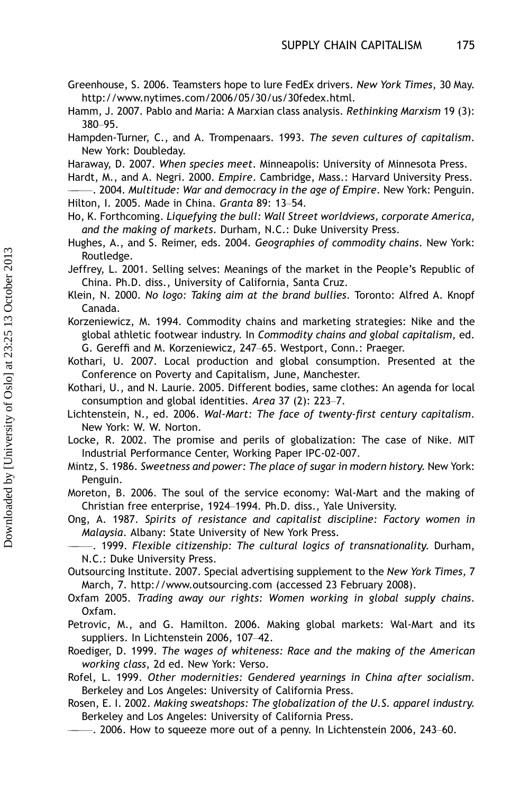- Greenhouse, S. 2006. Teamsters hope to lure FedEx drivers. New York Times, 30 May. <http://www.nytimes.com/2006/05/30/us/30fedex.html>.
- Hamm, J. 2007. Pablo and Maria: A Marxian class analysis. Rethinking Marxism 19 (3): 380-95.
- Hampden-Turner, C., and A. Trompenaars. 1993. The seven cultures of capitalism. New York: Doubleday.
- Haraway, D. 2007. When species meet. Minneapolis: University of Minnesota Press.
- Hardt, M., and A. Negri. 2000. Empire. Cambridge, Mass.: Harvard University Press.
- -. 2004. Multitude: War and democracy in the age of Empire. New York: Penguin. Hilton, I. 2005. Made in China. Granta 89: 13-54.
- Ho, K. Forthcoming. Liquefying the bull: Wall Street worldviews, corporate America, and the making of markets. Durham, N.C.: Duke University Press.
- Hughes, A., and S. Reimer, eds. 2004. Geographies of commodity chains. New York: Routledge.
- Jeffrey, L. 2001. Selling selves: Meanings of the market in the People's Republic of China. Ph.D. diss., University of California, Santa Cruz.
- Klein, N. 2000. No logo: Taking aim at the brand bullies. Toronto: Alfred A. Knopf Canada.
- Korzeniewicz, M. 1994. Commodity chains and marketing strategies: Nike and the global athletic footwear industry. In Commodity chains and global capitalism, ed. G. Gereffi and M. Korzeniewicz, 247-65. Westport, Conn.: Praeger.
- Kothari, U. 2007. Local production and global consumption. Presented at the Conference on Poverty and Capitalism, June, Manchester.
- Kothari, U., and N. Laurie. 2005. Different bodies, same clothes: An agenda for local consumption and global identities. Area 37 (2):  $223-7$ .
- Lichtenstein, N., ed. 2006. Wal-Mart: The face of twenty-first century capitalism. New York: W. W. Norton.
- Locke, R. 2002. The promise and perils of globalization: The case of Nike. MIT Industrial Performance Center, Working Paper IPC-02-007.
- Mintz, S. 1986. Sweetness and power: The place of sugar in modern history. New York: Penguin.
- Moreton, B. 2006. The soul of the service economy: Wal-Mart and the making of Christian free enterprise, 1924-1994. Ph.D. diss., Yale University.
- Ong, A. 1987. Spirits of resistance and capitalist discipline: Factory women in Malaysia. Albany: State University of New York Press.
	- -. 1999. Flexible citizenship: The cultural logics of transnationality. Durham, N.C.: Duke University Press.
- Outsourcing Institute. 2007. Special advertising supplement to the New York Times, 7 March, 7.<http://www.outsourcing.com> (accessed 23 February 2008).
- Oxfam 2005. Trading away our rights: Women working in global supply chains. Oxfam.
- Petrovic, M., and G. Hamilton. 2006. Making global markets: Wal-Mart and its suppliers. In Lichtenstein 2006, 107-42.
- Roediger, D. 1999. The wages of whiteness: Race and the making of the American working class, 2d ed. New York: Verso.
- Rofel, L. 1999. Other modernities: Gendered yearnings in China after socialism. Berkeley and Los Angeles: University of California Press.
- Rosen, E. I. 2002. Making sweatshops: The globalization of the U.S. apparel industry. Berkeley and Los Angeles: University of California Press.
- $-$ . 2006. How to squeeze more out of a penny. In Lichtenstein 2006, 243–60.